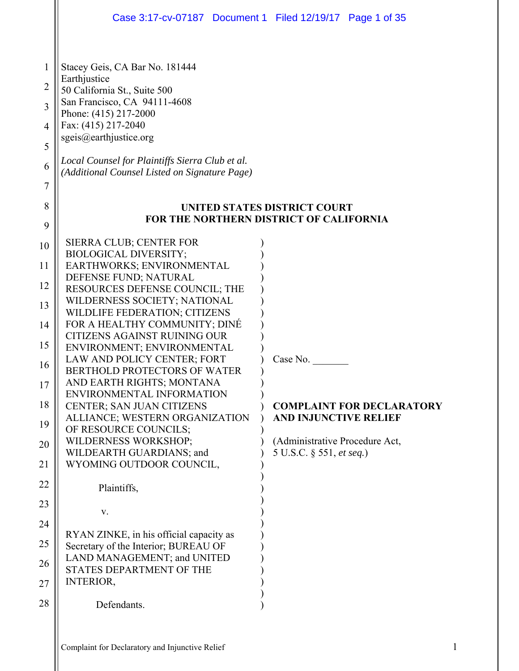|                                              | Case 3:17-cv-07187  Document 1  Filed 12/19/17  Page 1 of 35                                                                                                                                                                                                                                 |                                                                                       |
|----------------------------------------------|----------------------------------------------------------------------------------------------------------------------------------------------------------------------------------------------------------------------------------------------------------------------------------------------|---------------------------------------------------------------------------------------|
| 1<br>$\overline{2}$<br>3<br>4<br>5<br>6<br>7 | Stacey Geis, CA Bar No. 181444<br>Earthjustice<br>50 California St., Suite 500<br>San Francisco, CA 94111-4608<br>Phone: (415) 217-2000<br>Fax: (415) 217-2040<br>sgeis@earthjustice.org<br>Local Counsel for Plaintiffs Sierra Club et al.<br>(Additional Counsel Listed on Signature Page) |                                                                                       |
| 8<br>9                                       |                                                                                                                                                                                                                                                                                              | <b>UNITED STATES DISTRICT COURT</b><br><b>FOR THE NORTHERN DISTRICT OF CALIFORNIA</b> |
| 10                                           | <b>SIERRA CLUB; CENTER FOR</b>                                                                                                                                                                                                                                                               |                                                                                       |
| 11                                           | <b>BIOLOGICAL DIVERSITY;</b><br>EARTHWORKS; ENVIRONMENTAL                                                                                                                                                                                                                                    |                                                                                       |
| 12                                           | DEFENSE FUND; NATURAL<br>RESOURCES DEFENSE COUNCIL; THE                                                                                                                                                                                                                                      |                                                                                       |
| 13                                           | WILDERNESS SOCIETY; NATIONAL<br>WILDLIFE FEDERATION; CITIZENS                                                                                                                                                                                                                                |                                                                                       |
| 14                                           | FOR A HEALTHY COMMUNITY; DINÉ                                                                                                                                                                                                                                                                |                                                                                       |
| 15                                           | CITIZENS AGAINST RUINING OUR<br>ENVIRONMENT; ENVIRONMENTAL                                                                                                                                                                                                                                   |                                                                                       |
| 16                                           | LAW AND POLICY CENTER; FORT<br>BERTHOLD PROTECTORS OF WATER                                                                                                                                                                                                                                  | Case No.                                                                              |
| 17                                           | AND EARTH RIGHTS; MONTANA                                                                                                                                                                                                                                                                    |                                                                                       |
| 18                                           | ENVIRONMENTAL INFORMATION<br>CENTER; SAN JUAN CITIZENS                                                                                                                                                                                                                                       | <b>COMPLAINT FOR DECLARATORY</b>                                                      |
| 19                                           | ALLIANCE; WESTERN ORGANIZATION<br>OF RESOURCE COUNCILS;                                                                                                                                                                                                                                      | AND INJUNCTIVE RELIEF                                                                 |
| 20                                           | <b>WILDERNESS WORKSHOP;</b>                                                                                                                                                                                                                                                                  | (Administrative Procedure Act,                                                        |
| 21                                           | WILDEARTH GUARDIANS; and<br>WYOMING OUTDOOR COUNCIL,                                                                                                                                                                                                                                         | 5 U.S.C. § 551, et seq.)                                                              |
| 22                                           | Plaintiffs,                                                                                                                                                                                                                                                                                  |                                                                                       |
| 23                                           |                                                                                                                                                                                                                                                                                              |                                                                                       |
| 24                                           | V.                                                                                                                                                                                                                                                                                           |                                                                                       |
| 25                                           | RYAN ZINKE, in his official capacity as<br>Secretary of the Interior; BUREAU OF                                                                                                                                                                                                              |                                                                                       |
| 26                                           | LAND MANAGEMENT; and UNITED                                                                                                                                                                                                                                                                  |                                                                                       |
| 27                                           | STATES DEPARTMENT OF THE<br><b>INTERIOR,</b>                                                                                                                                                                                                                                                 |                                                                                       |
| 28                                           | Defendants.                                                                                                                                                                                                                                                                                  |                                                                                       |
|                                              |                                                                                                                                                                                                                                                                                              |                                                                                       |
|                                              |                                                                                                                                                                                                                                                                                              |                                                                                       |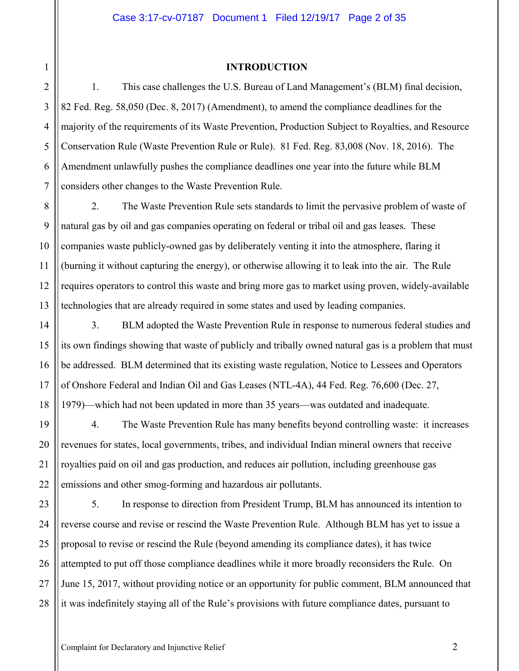#### **INTRODUCTION**

1. This case challenges the U.S. Bureau of Land Management's (BLM) final decision, 82 Fed. Reg. 58,050 (Dec. 8, 2017) (Amendment), to amend the compliance deadlines for the majority of the requirements of its Waste Prevention, Production Subject to Royalties, and Resource Conservation Rule (Waste Prevention Rule or Rule). 81 Fed. Reg. 83,008 (Nov. 18, 2016). The Amendment unlawfully pushes the compliance deadlines one year into the future while BLM considers other changes to the Waste Prevention Rule.

2. The Waste Prevention Rule sets standards to limit the pervasive problem of waste of natural gas by oil and gas companies operating on federal or tribal oil and gas leases. These companies waste publicly-owned gas by deliberately venting it into the atmosphere, flaring it (burning it without capturing the energy), or otherwise allowing it to leak into the air. The Rule requires operators to control this waste and bring more gas to market using proven, widely-available technologies that are already required in some states and used by leading companies.

3. BLM adopted the Waste Prevention Rule in response to numerous federal studies and its own findings showing that waste of publicly and tribally owned natural gas is a problem that must be addressed. BLM determined that its existing waste regulation, Notice to Lessees and Operators of Onshore Federal and Indian Oil and Gas Leases (NTL-4A), 44 Fed. Reg. 76,600 (Dec. 27, 1979)—which had not been updated in more than 35 years—was outdated and inadequate.

4. The Waste Prevention Rule has many benefits beyond controlling waste: it increases revenues for states, local governments, tribes, and individual Indian mineral owners that receive royalties paid on oil and gas production, and reduces air pollution, including greenhouse gas emissions and other smog-forming and hazardous air pollutants.

28 5. In response to direction from President Trump, BLM has announced its intention to reverse course and revise or rescind the Waste Prevention Rule. Although BLM has yet to issue a proposal to revise or rescind the Rule (beyond amending its compliance dates), it has twice attempted to put off those compliance deadlines while it more broadly reconsiders the Rule. On June 15, 2017, without providing notice or an opportunity for public comment, BLM announced that it was indefinitely staying all of the Rule's provisions with future compliance dates, pursuant to

1

2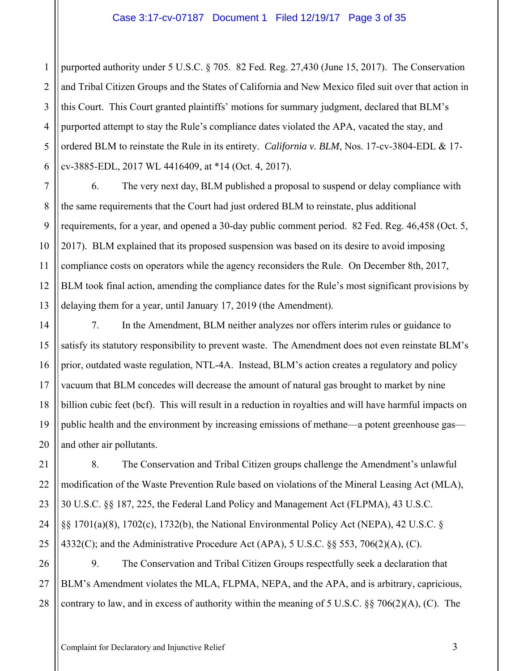1 2 3 4 5 6 purported authority under 5 U.S.C. § 705. 82 Fed. Reg. 27,430 (June 15, 2017). The Conservation and Tribal Citizen Groups and the States of California and New Mexico filed suit over that action in this Court. This Court granted plaintiffs' motions for summary judgment, declared that BLM's purported attempt to stay the Rule's compliance dates violated the APA, vacated the stay, and ordered BLM to reinstate the Rule in its entirety. *California v. BLM*, Nos. 17-cv-3804-EDL & 17 cv-3885-EDL, 2017 WL 4416409, at \*14 (Oct. 4, 2017).

7 8 9 10 11 12 13 6. The very next day, BLM published a proposal to suspend or delay compliance with the same requirements that the Court had just ordered BLM to reinstate, plus additional requirements, for a year, and opened a 30-day public comment period. 82 Fed. Reg. 46,458 (Oct. 5, 2017). BLM explained that its proposed suspension was based on its desire to avoid imposing compliance costs on operators while the agency reconsiders the Rule. On December 8th, 2017, BLM took final action, amending the compliance dates for the Rule's most significant provisions by delaying them for a year, until January 17, 2019 (the Amendment).

14 15 16 17 18 19 20 7. In the Amendment, BLM neither analyzes nor offers interim rules or guidance to satisfy its statutory responsibility to prevent waste. The Amendment does not even reinstate BLM's prior, outdated waste regulation, NTL-4A. Instead, BLM's action creates a regulatory and policy vacuum that BLM concedes will decrease the amount of natural gas brought to market by nine billion cubic feet (bcf). This will result in a reduction in royalties and will have harmful impacts on public health and the environment by increasing emissions of methane—a potent greenhouse gas and other air pollutants.

21 22 23 24 25 8. The Conservation and Tribal Citizen groups challenge the Amendment's unlawful modification of the Waste Prevention Rule based on violations of the Mineral Leasing Act (MLA), 30 U.S.C. §§ 187, 225, the Federal Land Policy and Management Act (FLPMA), 43 U.S.C. §§ 1701(a)(8), 1702(c), 1732(b), the National Environmental Policy Act (NEPA), 42 U.S.C. § 4332(C); and the Administrative Procedure Act (APA), 5 U.S.C. §§ 553, 706(2)(A), (C).

26 27 28 9. The Conservation and Tribal Citizen Groups respectfully seek a declaration that BLM's Amendment violates the MLA, FLPMA, NEPA, and the APA, and is arbitrary, capricious, contrary to law, and in excess of authority within the meaning of 5 U.S.C. §§ 706(2)(A), (C). The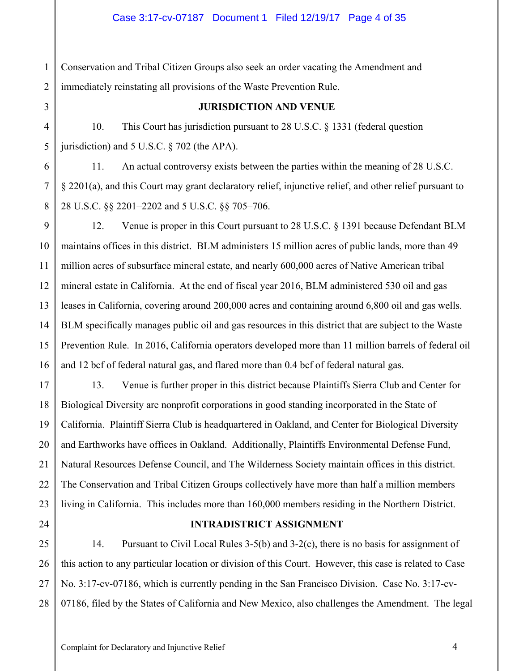1 2 Conservation and Tribal Citizen Groups also seek an order vacating the Amendment and immediately reinstating all provisions of the Waste Prevention Rule.

3

4

5

6

7

8

9

10

11

15

17

18

19

20

21

22

23

25

27

## **JURISDICTION AND VENUE**

10. This Court has jurisdiction pursuant to 28 U.S.C. § 1331 (federal question jurisdiction) and 5 U.S.C. § 702 (the APA).

11. An actual controversy exists between the parties within the meaning of 28 U.S.C. § 2201(a), and this Court may grant declaratory relief, injunctive relief, and other relief pursuant to 28 U.S.C. §§ 2201–2202 and 5 U.S.C. §§ 705–706.

12 13 14 16 12. Venue is proper in this Court pursuant to 28 U.S.C. § 1391 because Defendant BLM maintains offices in this district. BLM administers 15 million acres of public lands, more than 49 million acres of subsurface mineral estate, and nearly 600,000 acres of Native American tribal mineral estate in California. At the end of fiscal year 2016, BLM administered 530 oil and gas leases in California, covering around 200,000 acres and containing around 6,800 oil and gas wells. BLM specifically manages public oil and gas resources in this district that are subject to the Waste Prevention Rule. In 2016, California operators developed more than 11 million barrels of federal oil and 12 bcf of federal natural gas, and flared more than 0.4 bcf of federal natural gas.

13. Venue is further proper in this district because Plaintiffs Sierra Club and Center for Biological Diversity are nonprofit corporations in good standing incorporated in the State of California. Plaintiff Sierra Club is headquartered in Oakland, and Center for Biological Diversity and Earthworks have offices in Oakland. Additionally, Plaintiffs Environmental Defense Fund, Natural Resources Defense Council, and The Wilderness Society maintain offices in this district. The Conservation and Tribal Citizen Groups collectively have more than half a million members living in California. This includes more than 160,000 members residing in the Northern District.

24

## **INTRADISTRICT ASSIGNMENT**

26 28 14. Pursuant to Civil Local Rules 3-5(b) and 3-2(c), there is no basis for assignment of this action to any particular location or division of this Court. However, this case is related to Case No. 3:17-cv-07186, which is currently pending in the San Francisco Division. Case No. 3:17-cv-07186, filed by the States of California and New Mexico, also challenges the Amendment. The legal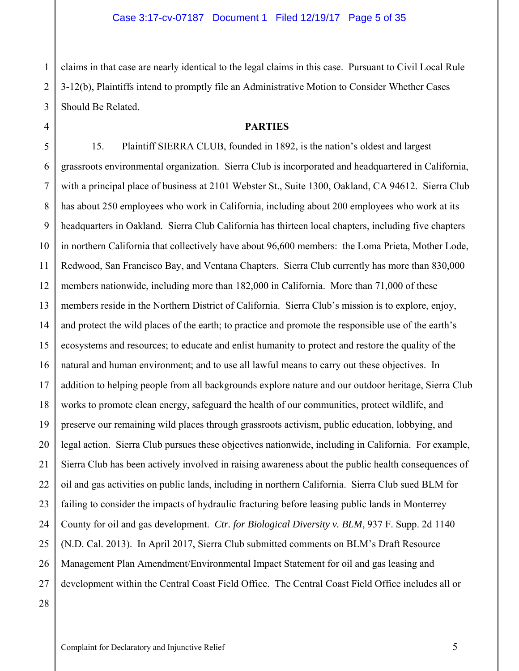claims in that case are nearly identical to the legal claims in this case. Pursuant to Civil Local Rule 3-12(b), Plaintiffs intend to promptly file an Administrative Motion to Consider Whether Cases Should Be Related.

#### **PARTIES**

15. Plaintiff SIERRA CLUB, founded in 1892, is the nation's oldest and largest grassroots environmental organization. Sierra Club is incorporated and headquartered in California, with a principal place of business at 2101 Webster St., Suite 1300, Oakland, CA 94612. Sierra Club has about 250 employees who work in California, including about 200 employees who work at its headquarters in Oakland. Sierra Club California has thirteen local chapters, including five chapters in northern California that collectively have about 96,600 members: the Loma Prieta, Mother Lode, Redwood, San Francisco Bay, and Ventana Chapters. Sierra Club currently has more than 830,000 members nationwide, including more than 182,000 in California. More than 71,000 of these members reside in the Northern District of California. Sierra Club's mission is to explore, enjoy, and protect the wild places of the earth; to practice and promote the responsible use of the earth's ecosystems and resources; to educate and enlist humanity to protect and restore the quality of the natural and human environment; and to use all lawful means to carry out these objectives. In addition to helping people from all backgrounds explore nature and our outdoor heritage, Sierra Club works to promote clean energy, safeguard the health of our communities, protect wildlife, and preserve our remaining wild places through grassroots activism, public education, lobbying, and legal action. Sierra Club pursues these objectives nationwide, including in California. For example, Sierra Club has been actively involved in raising awareness about the public health consequences of oil and gas activities on public lands, including in northern California. Sierra Club sued BLM for failing to consider the impacts of hydraulic fracturing before leasing public lands in Monterrey County for oil and gas development. *Ctr. for Biological Diversity v. BLM*, 937 F. Supp. 2d 1140 (N.D. Cal. 2013). In April 2017, Sierra Club submitted comments on BLM's Draft Resource Management Plan Amendment/Environmental Impact Statement for oil and gas leasing and development within the Central Coast Field Office. The Central Coast Field Office includes all or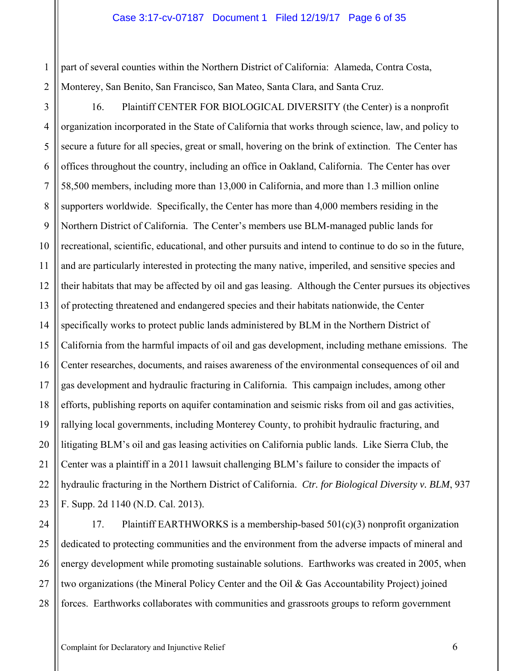#### Case 3:17-cv-07187 Document 1 Filed 12/19/17 Page 6 of 35

2 part of several counties within the Northern District of California: Alameda, Contra Costa, Monterey, San Benito, San Francisco, San Mateo, Santa Clara, and Santa Cruz.

1

3 4 5 6 7 8 9 10 11 12 13 14 15 16 17 18 19 20 21 22 23 16. Plaintiff CENTER FOR BIOLOGICAL DIVERSITY (the Center) is a nonprofit organization incorporated in the State of California that works through science, law, and policy to secure a future for all species, great or small, hovering on the brink of extinction. The Center has offices throughout the country, including an office in Oakland, California. The Center has over 58,500 members, including more than 13,000 in California, and more than 1.3 million online supporters worldwide. Specifically, the Center has more than 4,000 members residing in the Northern District of California. The Center's members use BLM-managed public lands for recreational, scientific, educational, and other pursuits and intend to continue to do so in the future, and are particularly interested in protecting the many native, imperiled, and sensitive species and their habitats that may be affected by oil and gas leasing. Although the Center pursues its objectives of protecting threatened and endangered species and their habitats nationwide, the Center specifically works to protect public lands administered by BLM in the Northern District of California from the harmful impacts of oil and gas development, including methane emissions. The Center researches, documents, and raises awareness of the environmental consequences of oil and gas development and hydraulic fracturing in California. This campaign includes, among other efforts, publishing reports on aquifer contamination and seismic risks from oil and gas activities, rallying local governments, including Monterey County, to prohibit hydraulic fracturing, and litigating BLM's oil and gas leasing activities on California public lands. Like Sierra Club, the Center was a plaintiff in a 2011 lawsuit challenging BLM's failure to consider the impacts of hydraulic fracturing in the Northern District of California. *Ctr. for Biological Diversity v. BLM*, 937 F. Supp. 2d 1140 (N.D. Cal. 2013).

24 25 26 27 28 17. Plaintiff EARTHWORKS is a membership-based  $501(c)(3)$  nonprofit organization dedicated to protecting communities and the environment from the adverse impacts of mineral and energy development while promoting sustainable solutions. Earthworks was created in 2005, when two organizations (the Mineral Policy Center and the Oil & Gas Accountability Project) joined forces. Earthworks collaborates with communities and grassroots groups to reform government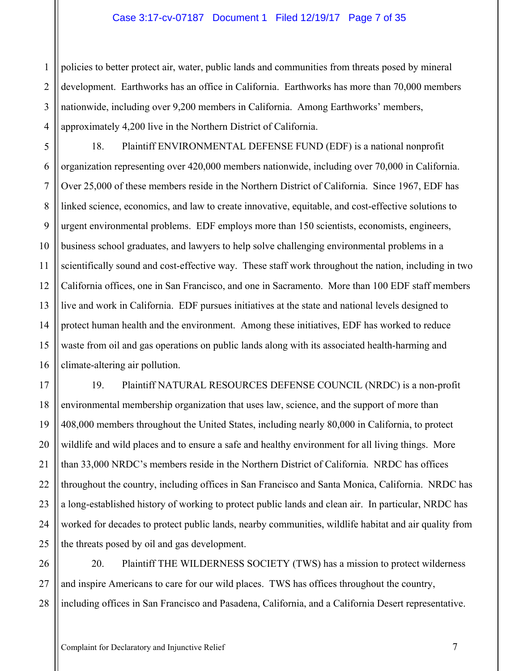#### Case 3:17-cv-07187 Document 1 Filed 12/19/17 Page 7 of 35

1 2 3 4 policies to better protect air, water, public lands and communities from threats posed by mineral development. Earthworks has an office in California. Earthworks has more than 70,000 members nationwide, including over 9,200 members in California. Among Earthworks' members, approximately 4,200 live in the Northern District of California.

5 6 7 8 9 10 11 12 13 14 15 16 18. Plaintiff ENVIRONMENTAL DEFENSE FUND (EDF) is a national nonprofit organization representing over 420,000 members nationwide, including over 70,000 in California. Over 25,000 of these members reside in the Northern District of California. Since 1967, EDF has linked science, economics, and law to create innovative, equitable, and cost-effective solutions to urgent environmental problems. EDF employs more than 150 scientists, economists, engineers, business school graduates, and lawyers to help solve challenging environmental problems in a scientifically sound and cost-effective way. These staff work throughout the nation, including in two California offices, one in San Francisco, and one in Sacramento. More than 100 EDF staff members live and work in California. EDF pursues initiatives at the state and national levels designed to protect human health and the environment. Among these initiatives, EDF has worked to reduce waste from oil and gas operations on public lands along with its associated health-harming and climate-altering air pollution.

17 18 19 20 21 22 23 24 25 19. Plaintiff NATURAL RESOURCES DEFENSE COUNCIL (NRDC) is a non-profit environmental membership organization that uses law, science, and the support of more than 408,000 members throughout the United States, including nearly 80,000 in California, to protect wildlife and wild places and to ensure a safe and healthy environment for all living things. More than 33,000 NRDC's members reside in the Northern District of California. NRDC has offices throughout the country, including offices in San Francisco and Santa Monica, California. NRDC has a long-established history of working to protect public lands and clean air. In particular, NRDC has worked for decades to protect public lands, nearby communities, wildlife habitat and air quality from the threats posed by oil and gas development.

26 27 28 20. Plaintiff THE WILDERNESS SOCIETY (TWS) has a mission to protect wilderness and inspire Americans to care for our wild places. TWS has offices throughout the country, including offices in San Francisco and Pasadena, California, and a California Desert representative.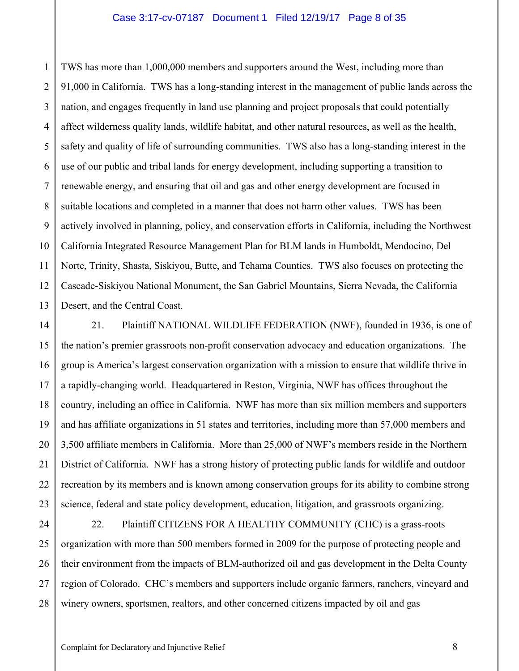1 2 3 4 5 6 7 8 9 10 11 12 13 TWS has more than 1,000,000 members and supporters around the West, including more than 91,000 in California. TWS has a long-standing interest in the management of public lands across the nation, and engages frequently in land use planning and project proposals that could potentially affect wilderness quality lands, wildlife habitat, and other natural resources, as well as the health, safety and quality of life of surrounding communities. TWS also has a long-standing interest in the use of our public and tribal lands for energy development, including supporting a transition to renewable energy, and ensuring that oil and gas and other energy development are focused in suitable locations and completed in a manner that does not harm other values. TWS has been actively involved in planning, policy, and conservation efforts in California, including the Northwest California Integrated Resource Management Plan for BLM lands in Humboldt, Mendocino, Del Norte, Trinity, Shasta, Siskiyou, Butte, and Tehama Counties. TWS also focuses on protecting the Cascade-Siskiyou National Monument, the San Gabriel Mountains, Sierra Nevada, the California Desert, and the Central Coast.

14 15 16 17 18 19 20 21 22 23 21. Plaintiff NATIONAL WILDLIFE FEDERATION (NWF), founded in 1936, is one of the nation's premier grassroots non-profit conservation advocacy and education organizations. The group is America's largest conservation organization with a mission to ensure that wildlife thrive in a rapidly-changing world. Headquartered in Reston, Virginia, NWF has offices throughout the country, including an office in California. NWF has more than six million members and supporters and has affiliate organizations in 51 states and territories, including more than 57,000 members and 3,500 affiliate members in California. More than 25,000 of NWF's members reside in the Northern District of California. NWF has a strong history of protecting public lands for wildlife and outdoor recreation by its members and is known among conservation groups for its ability to combine strong science, federal and state policy development, education, litigation, and grassroots organizing.

24 25 26 27 28 22. Plaintiff CITIZENS FOR A HEALTHY COMMUNITY (CHC) is a grass-roots organization with more than 500 members formed in 2009 for the purpose of protecting people and their environment from the impacts of BLM-authorized oil and gas development in the Delta County region of Colorado. CHC's members and supporters include organic farmers, ranchers, vineyard and winery owners, sportsmen, realtors, and other concerned citizens impacted by oil and gas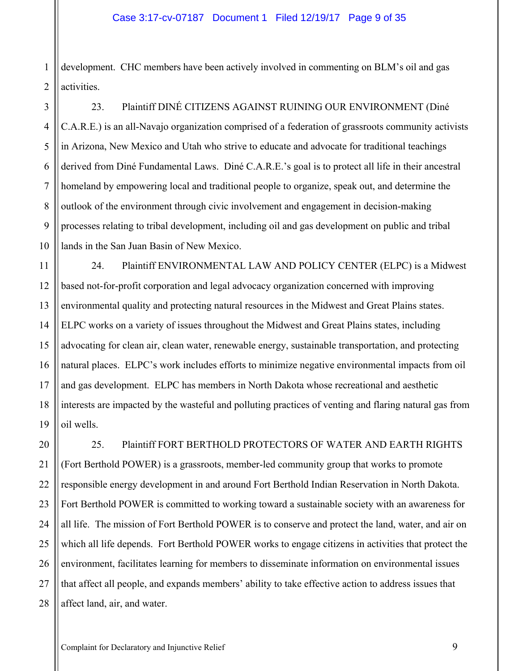1 2 development. CHC members have been actively involved in commenting on BLM's oil and gas activities.

23. Plaintiff DINÉ CITIZENS AGAINST RUINING OUR ENVIRONMENT (Diné C.A.R.E.) is an all-Navajo organization comprised of a federation of grassroots community activists in Arizona, New Mexico and Utah who strive to educate and advocate for traditional teachings derived from Diné Fundamental Laws. Diné C.A.R.E.'s goal is to protect all life in their ancestral homeland by empowering local and traditional people to organize, speak out, and determine the outlook of the environment through civic involvement and engagement in decision-making processes relating to tribal development, including oil and gas development on public and tribal lands in the San Juan Basin of New Mexico.

12 13 14 16 18 19 24. Plaintiff ENVIRONMENTAL LAW AND POLICY CENTER (ELPC) is a Midwest based not-for-profit corporation and legal advocacy organization concerned with improving environmental quality and protecting natural resources in the Midwest and Great Plains states. ELPC works on a variety of issues throughout the Midwest and Great Plains states, including advocating for clean air, clean water, renewable energy, sustainable transportation, and protecting natural places. ELPC's work includes efforts to minimize negative environmental impacts from oil and gas development. ELPC has members in North Dakota whose recreational and aesthetic interests are impacted by the wasteful and polluting practices of venting and flaring natural gas from oil wells.

20 21 22 23 24 25 26 27 28 25. Plaintiff FORT BERTHOLD PROTECTORS OF WATER AND EARTH RIGHTS (Fort Berthold POWER) is a grassroots, member-led community group that works to promote responsible energy development in and around Fort Berthold Indian Reservation in North Dakota. Fort Berthold POWER is committed to working toward a sustainable society with an awareness for all life. The mission of Fort Berthold POWER is to conserve and protect the land, water, and air on which all life depends. Fort Berthold POWER works to engage citizens in activities that protect the environment, facilitates learning for members to disseminate information on environmental issues that affect all people, and expands members' ability to take effective action to address issues that affect land, air, and water.

3

4

5

6

7

8

9

10

11

15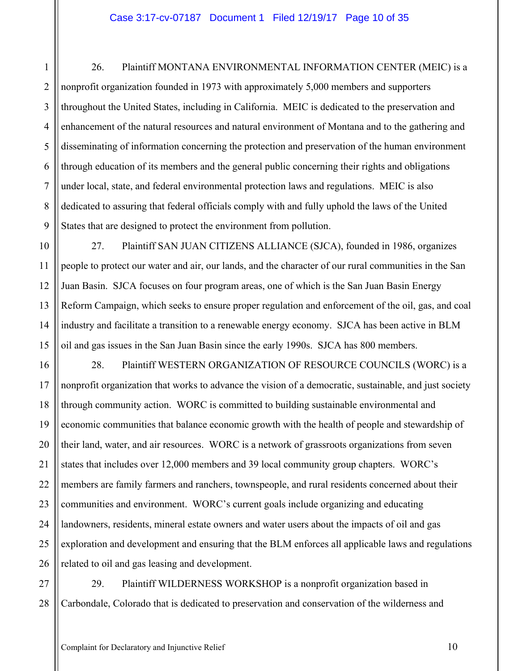9 26. Plaintiff MONTANA ENVIRONMENTAL INFORMATION CENTER (MEIC) is a nonprofit organization founded in 1973 with approximately 5,000 members and supporters throughout the United States, including in California. MEIC is dedicated to the preservation and enhancement of the natural resources and natural environment of Montana and to the gathering and disseminating of information concerning the protection and preservation of the human environment through education of its members and the general public concerning their rights and obligations under local, state, and federal environmental protection laws and regulations. MEIC is also dedicated to assuring that federal officials comply with and fully uphold the laws of the United States that are designed to protect the environment from pollution.

10 12 13 14 27. Plaintiff SAN JUAN CITIZENS ALLIANCE (SJCA), founded in 1986, organizes people to protect our water and air, our lands, and the character of our rural communities in the San Juan Basin. SJCA focuses on four program areas, one of which is the San Juan Basin Energy Reform Campaign, which seeks to ensure proper regulation and enforcement of the oil, gas, and coal industry and facilitate a transition to a renewable energy economy. SJCA has been active in BLM oil and gas issues in the San Juan Basin since the early 1990s. SJCA has 800 members.

16 17 18 19 20 21 22 23 24 25 26 28. Plaintiff WESTERN ORGANIZATION OF RESOURCE COUNCILS (WORC) is a nonprofit organization that works to advance the vision of a democratic, sustainable, and just society through community action. WORC is committed to building sustainable environmental and economic communities that balance economic growth with the health of people and stewardship of their land, water, and air resources. WORC is a network of grassroots organizations from seven states that includes over 12,000 members and 39 local community group chapters. WORC's members are family farmers and ranchers, townspeople, and rural residents concerned about their communities and environment. WORC's current goals include organizing and educating landowners, residents, mineral estate owners and water users about the impacts of oil and gas exploration and development and ensuring that the BLM enforces all applicable laws and regulations related to oil and gas leasing and development.

27 28 29. Plaintiff WILDERNESS WORKSHOP is a nonprofit organization based in Carbondale, Colorado that is dedicated to preservation and conservation of the wilderness and

1

2

3

4

5

6

7

8

11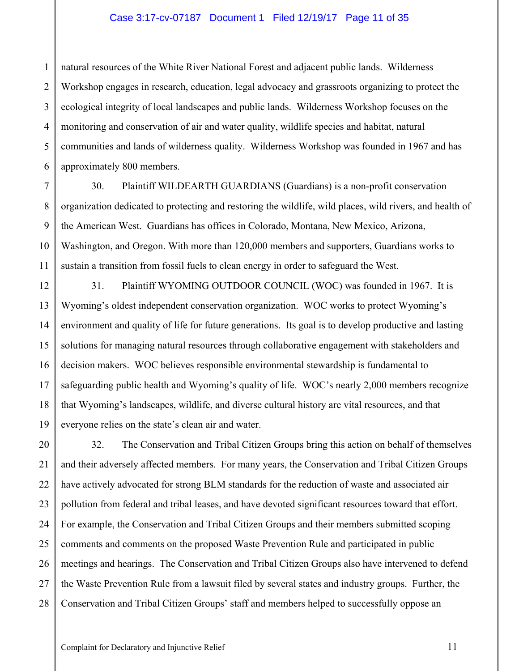#### Case 3:17-cv-07187 Document 1 Filed 12/19/17 Page 11 of 35

1 2 3 4 5 6 natural resources of the White River National Forest and adjacent public lands. Wilderness Workshop engages in research, education, legal advocacy and grassroots organizing to protect the ecological integrity of local landscapes and public lands. Wilderness Workshop focuses on the monitoring and conservation of air and water quality, wildlife species and habitat, natural communities and lands of wilderness quality. Wilderness Workshop was founded in 1967 and has approximately 800 members.

30. Plaintiff WILDEARTH GUARDIANS (Guardians) is a non-profit conservation organization dedicated to protecting and restoring the wildlife, wild places, wild rivers, and health of the American West. Guardians has offices in Colorado, Montana, New Mexico, Arizona, Washington, and Oregon. With more than 120,000 members and supporters, Guardians works to sustain a transition from fossil fuels to clean energy in order to safeguard the West.

12 13 14 15 16 17 18 19 31. Plaintiff WYOMING OUTDOOR COUNCIL (WOC) was founded in 1967. It is Wyoming's oldest independent conservation organization. WOC works to protect Wyoming's environment and quality of life for future generations. Its goal is to develop productive and lasting solutions for managing natural resources through collaborative engagement with stakeholders and decision makers. WOC believes responsible environmental stewardship is fundamental to safeguarding public health and Wyoming's quality of life. WOC's nearly 2,000 members recognize that Wyoming's landscapes, wildlife, and diverse cultural history are vital resources, and that everyone relies on the state's clean air and water.

20 21 22 23 24 25 26 27 28 32. The Conservation and Tribal Citizen Groups bring this action on behalf of themselves and their adversely affected members. For many years, the Conservation and Tribal Citizen Groups have actively advocated for strong BLM standards for the reduction of waste and associated air pollution from federal and tribal leases, and have devoted significant resources toward that effort. For example, the Conservation and Tribal Citizen Groups and their members submitted scoping comments and comments on the proposed Waste Prevention Rule and participated in public meetings and hearings. The Conservation and Tribal Citizen Groups also have intervened to defend the Waste Prevention Rule from a lawsuit filed by several states and industry groups. Further, the Conservation and Tribal Citizen Groups' staff and members helped to successfully oppose an

7

8

9

10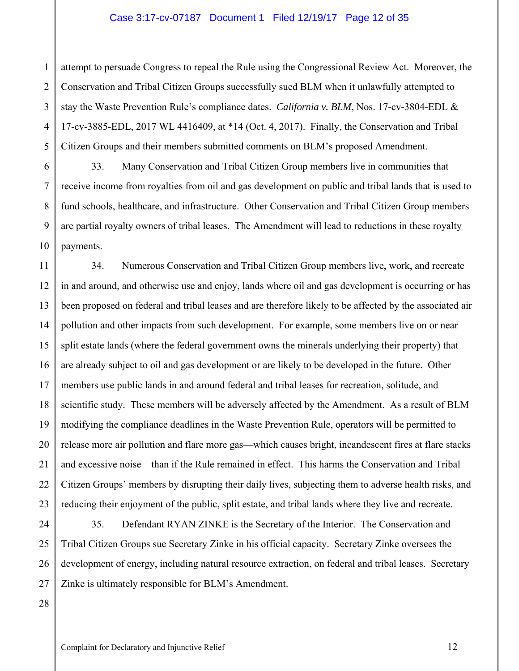#### Case 3:17-cv-07187 Document 1 Filed 12/19/17 Page 12 of 35

2 3 4 5 attempt to persuade Congress to repeal the Rule using the Congressional Review Act. Moreover, the Conservation and Tribal Citizen Groups successfully sued BLM when it unlawfully attempted to stay the Waste Prevention Rule's compliance dates. *California v. BLM*, Nos. 17-cv-3804-EDL & 17-cv-3885-EDL, 2017 WL 4416409, at \*14 (Oct. 4, 2017). Finally, the Conservation and Tribal Citizen Groups and their members submitted comments on BLM's proposed Amendment.

9 10 33. Many Conservation and Tribal Citizen Group members live in communities that receive income from royalties from oil and gas development on public and tribal lands that is used to fund schools, healthcare, and infrastructure. Other Conservation and Tribal Citizen Group members are partial royalty owners of tribal leases. The Amendment will lead to reductions in these royalty payments.

11 12 13 14 15 16 17 18 19 20 21 22 23 34. Numerous Conservation and Tribal Citizen Group members live, work, and recreate in and around, and otherwise use and enjoy, lands where oil and gas development is occurring or has been proposed on federal and tribal leases and are therefore likely to be affected by the associated air pollution and other impacts from such development. For example, some members live on or near split estate lands (where the federal government owns the minerals underlying their property) that are already subject to oil and gas development or are likely to be developed in the future. Other members use public lands in and around federal and tribal leases for recreation, solitude, and scientific study. These members will be adversely affected by the Amendment. As a result of BLM modifying the compliance deadlines in the Waste Prevention Rule, operators will be permitted to release more air pollution and flare more gas—which causes bright, incandescent fires at flare stacks and excessive noise—than if the Rule remained in effect. This harms the Conservation and Tribal Citizen Groups' members by disrupting their daily lives, subjecting them to adverse health risks, and reducing their enjoyment of the public, split estate, and tribal lands where they live and recreate.

24 25 26 27 35. Defendant RYAN ZINKE is the Secretary of the Interior. The Conservation and Tribal Citizen Groups sue Secretary Zinke in his official capacity. Secretary Zinke oversees the development of energy, including natural resource extraction, on federal and tribal leases. Secretary Zinke is ultimately responsible for BLM's Amendment.

28

1

6

7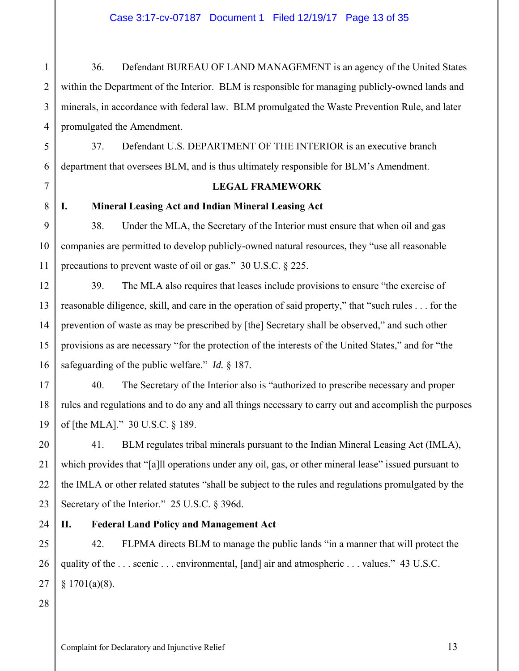36. Defendant BUREAU OF LAND MANAGEMENT is an agency of the United States within the Department of the Interior. BLM is responsible for managing publicly-owned lands and minerals, in accordance with federal law. BLM promulgated the Waste Prevention Rule, and later promulgated the Amendment.

37. Defendant U.S. DEPARTMENT OF THE INTERIOR is an executive branch department that oversees BLM, and is thus ultimately responsible for BLM's Amendment.

## **LEGAL FRAMEWORK**

**I. Mineral Leasing Act and Indian Mineral Leasing Act** 

38. Under the MLA, the Secretary of the Interior must ensure that when oil and gas companies are permitted to develop publicly-owned natural resources, they "use all reasonable precautions to prevent waste of oil or gas." 30 U.S.C. § 225.

39. The MLA also requires that leases include provisions to ensure "the exercise of reasonable diligence, skill, and care in the operation of said property," that "such rules . . . for the prevention of waste as may be prescribed by [the] Secretary shall be observed," and such other provisions as are necessary "for the protection of the interests of the United States," and for "the safeguarding of the public welfare." *Id.* § 187.

40. The Secretary of the Interior also is "authorized to prescribe necessary and proper rules and regulations and to do any and all things necessary to carry out and accomplish the purposes of [the MLA]." 30 U.S.C. § 189.

41. BLM regulates tribal minerals pursuant to the Indian Mineral Leasing Act (IMLA), which provides that "[a]ll operations under any oil, gas, or other mineral lease" issued pursuant to the IMLA or other related statutes "shall be subject to the rules and regulations promulgated by the Secretary of the Interior." 25 U.S.C. § 396d.

24

## **II. Federal Land Policy and Management Act**

25 26 27 42. FLPMA directs BLM to manage the public lands "in a manner that will protect the quality of the . . . scenic . . . environmental, [and] air and atmospheric . . . values." 43 U.S.C.  $$1701(a)(8).$ 

28

1

2

3

4

5

6

7

8

9

10

11

12

13

14

15

16

17

18

19

20

21

22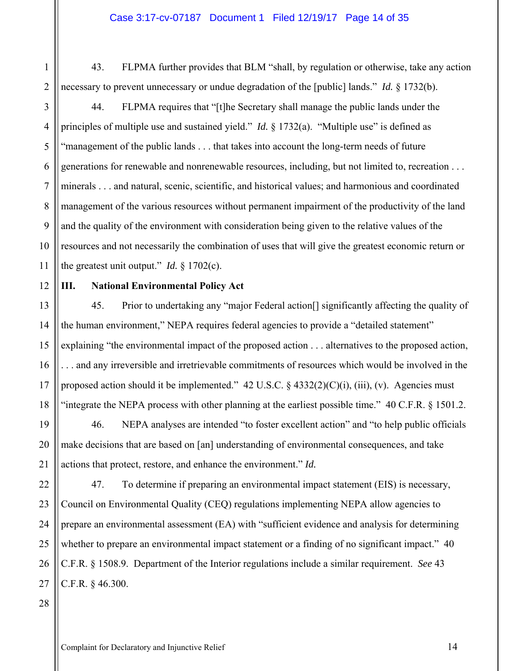43. FLPMA further provides that BLM "shall, by regulation or otherwise, take any action necessary to prevent unnecessary or undue degradation of the [public] lands." *Id.* § 1732(b).

44. FLPMA requires that "[t]he Secretary shall manage the public lands under the principles of multiple use and sustained yield." *Id.* § 1732(a). "Multiple use" is defined as "management of the public lands . . . that takes into account the long-term needs of future generations for renewable and nonrenewable resources, including, but not limited to, recreation . . . minerals . . . and natural, scenic, scientific, and historical values; and harmonious and coordinated management of the various resources without permanent impairment of the productivity of the land and the quality of the environment with consideration being given to the relative values of the resources and not necessarily the combination of uses that will give the greatest economic return or the greatest unit output." *Id.*  $\S 1702(c)$ .

## 12

1

2

3

4

5

6

7

8

9

10

11

14

15

17

## **III. National Environmental Policy Act**

13 16 18 45. Prior to undertaking any "major Federal action[] significantly affecting the quality of the human environment," NEPA requires federal agencies to provide a "detailed statement" explaining "the environmental impact of the proposed action . . . alternatives to the proposed action, . . . and any irreversible and irretrievable commitments of resources which would be involved in the proposed action should it be implemented." 42 U.S.C.  $\S$  4332(2)(C)(i), (iii), (v). Agencies must "integrate the NEPA process with other planning at the earliest possible time." 40 C.F.R. § 1501.2.

19 20 21 46. NEPA analyses are intended "to foster excellent action" and "to help public officials make decisions that are based on [an] understanding of environmental consequences, and take actions that protect, restore, and enhance the environment." *Id.*

22 23 24 25 26 27 47. To determine if preparing an environmental impact statement (EIS) is necessary, Council on Environmental Quality (CEQ) regulations implementing NEPA allow agencies to prepare an environmental assessment (EA) with "sufficient evidence and analysis for determining whether to prepare an environmental impact statement or a finding of no significant impact." 40 C.F.R. § 1508.9. Department of the Interior regulations include a similar requirement. *See* 43 C.F.R. § 46.300.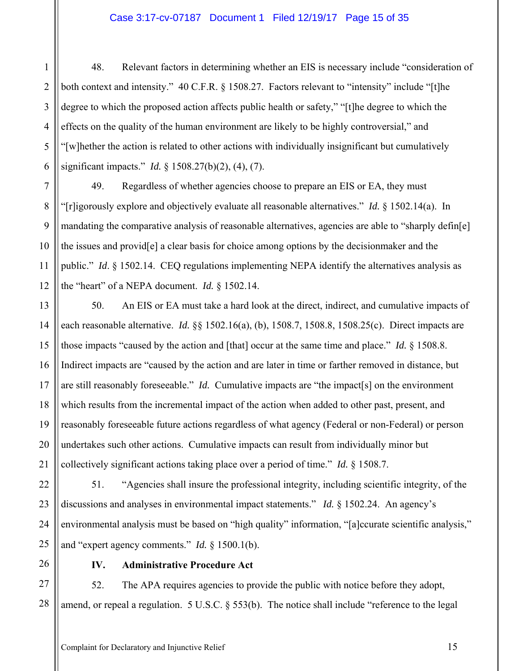#### Case 3:17-cv-07187 Document 1 Filed 12/19/17 Page 15 of 35

1 2 3 4 5 6 48. Relevant factors in determining whether an EIS is necessary include "consideration of both context and intensity." 40 C.F.R. § 1508.27. Factors relevant to "intensity" include "[t]he degree to which the proposed action affects public health or safety," "[t]he degree to which the effects on the quality of the human environment are likely to be highly controversial," and "[w]hether the action is related to other actions with individually insignificant but cumulatively significant impacts." *Id.* § 1508.27(b)(2), (4), (7).

49. Regardless of whether agencies choose to prepare an EIS or EA, they must "[r]igorously explore and objectively evaluate all reasonable alternatives." *Id.* § 1502.14(a). In mandating the comparative analysis of reasonable alternatives, agencies are able to "sharply defin[e] the issues and provid[e] a clear basis for choice among options by the decisionmaker and the public." *Id*. § 1502.14. CEQ regulations implementing NEPA identify the alternatives analysis as the "heart" of a NEPA document. *Id.* § 1502.14.

13 14 15 16 17 18 19 20 21 50. An EIS or EA must take a hard look at the direct, indirect, and cumulative impacts of each reasonable alternative. *Id.* §§ 1502.16(a), (b), 1508.7, 1508.8, 1508.25(c). Direct impacts are those impacts "caused by the action and [that] occur at the same time and place." *Id.* § 1508.8. Indirect impacts are "caused by the action and are later in time or farther removed in distance, but are still reasonably foreseeable." *Id.* Cumulative impacts are "the impact[s] on the environment which results from the incremental impact of the action when added to other past, present, and reasonably foreseeable future actions regardless of what agency (Federal or non-Federal) or person undertakes such other actions. Cumulative impacts can result from individually minor but collectively significant actions taking place over a period of time." *Id.* § 1508.7.

22 23 24 25 51. "Agencies shall insure the professional integrity, including scientific integrity, of the discussions and analyses in environmental impact statements." *Id.* § 1502.24. An agency's environmental analysis must be based on "high quality" information, "[a]ccurate scientific analysis," and "expert agency comments." *Id.* § 1500.1(b).

26

7

8

9

10

11

12

## **IV. Administrative Procedure Act**

27 28 52. The APA requires agencies to provide the public with notice before they adopt, amend, or repeal a regulation. 5 U.S.C. § 553(b). The notice shall include "reference to the legal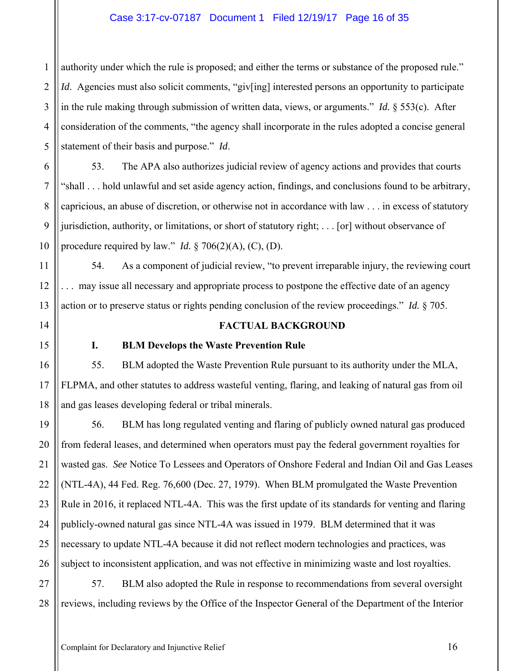## Case 3:17-cv-07187 Document 1 Filed 12/19/17 Page 16 of 35

1 2 3 4 5 authority under which the rule is proposed; and either the terms or substance of the proposed rule." *Id.* Agencies must also solicit comments, "giv[ing] interested persons an opportunity to participate in the rule making through submission of written data, views, or arguments." *Id.* § 553(c). After consideration of the comments, "the agency shall incorporate in the rules adopted a concise general statement of their basis and purpose." *Id*.

6 8 9 10 53. The APA also authorizes judicial review of agency actions and provides that courts "shall . . . hold unlawful and set aside agency action, findings, and conclusions found to be arbitrary, capricious, an abuse of discretion, or otherwise not in accordance with law . . . in excess of statutory jurisdiction, authority, or limitations, or short of statutory right; . . . [or] without observance of procedure required by law." *Id.*  $\S 706(2)(A)$ , (C), (D).

54. As a component of judicial review, "to prevent irreparable injury, the reviewing court . . . may issue all necessary and appropriate process to postpone the effective date of an agency action or to preserve status or rights pending conclusion of the review proceedings." *Id.* § 705.

## **FACTUAL BACKGROUND**

7

11

12

13

14

15

16

17

18

#### **I. BLM Develops the Waste Prevention Rule**

55. BLM adopted the Waste Prevention Rule pursuant to its authority under the MLA, FLPMA, and other statutes to address wasteful venting, flaring, and leaking of natural gas from oil and gas leases developing federal or tribal minerals.

19 20 21 22 23 24 25 26 56. BLM has long regulated venting and flaring of publicly owned natural gas produced from federal leases, and determined when operators must pay the federal government royalties for wasted gas. *See* Notice To Lessees and Operators of Onshore Federal and Indian Oil and Gas Leases (NTL-4A), 44 Fed. Reg. 76,600 (Dec. 27, 1979). When BLM promulgated the Waste Prevention Rule in 2016, it replaced NTL-4A. This was the first update of its standards for venting and flaring publicly-owned natural gas since NTL-4A was issued in 1979. BLM determined that it was necessary to update NTL-4A because it did not reflect modern technologies and practices, was subject to inconsistent application, and was not effective in minimizing waste and lost royalties.

27 28 57. BLM also adopted the Rule in response to recommendations from several oversight reviews, including reviews by the Office of the Inspector General of the Department of the Interior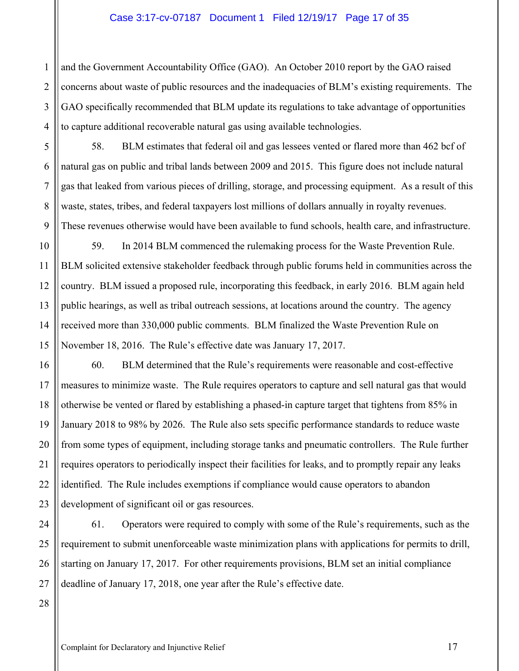and the Government Accountability Office (GAO). An October 2010 report by the GAO raised concerns about waste of public resources and the inadequacies of BLM's existing requirements. The GAO specifically recommended that BLM update its regulations to take advantage of opportunities to capture additional recoverable natural gas using available technologies.

58. BLM estimates that federal oil and gas lessees vented or flared more than 462 bcf of natural gas on public and tribal lands between 2009 and 2015. This figure does not include natural gas that leaked from various pieces of drilling, storage, and processing equipment. As a result of this waste, states, tribes, and federal taxpayers lost millions of dollars annually in royalty revenues. These revenues otherwise would have been available to fund schools, health care, and infrastructure.

59. In 2014 BLM commenced the rulemaking process for the Waste Prevention Rule. BLM solicited extensive stakeholder feedback through public forums held in communities across the country. BLM issued a proposed rule, incorporating this feedback, in early 2016. BLM again held public hearings, as well as tribal outreach sessions, at locations around the country. The agency received more than 330,000 public comments. BLM finalized the Waste Prevention Rule on November 18, 2016. The Rule's effective date was January 17, 2017.

16 17 18 19 22 23 60. BLM determined that the Rule's requirements were reasonable and cost-effective measures to minimize waste. The Rule requires operators to capture and sell natural gas that would otherwise be vented or flared by establishing a phased-in capture target that tightens from 85% in January 2018 to 98% by 2026. The Rule also sets specific performance standards to reduce waste from some types of equipment, including storage tanks and pneumatic controllers. The Rule further requires operators to periodically inspect their facilities for leaks, and to promptly repair any leaks identified. The Rule includes exemptions if compliance would cause operators to abandon development of significant oil or gas resources.

24 25 26 27 61. Operators were required to comply with some of the Rule's requirements, such as the requirement to submit unenforceable waste minimization plans with applications for permits to drill, starting on January 17, 2017. For other requirements provisions, BLM set an initial compliance deadline of January 17, 2018, one year after the Rule's effective date.

28

1

2

3

4

5

6

7

8

9

10

11

12

13

14

15

20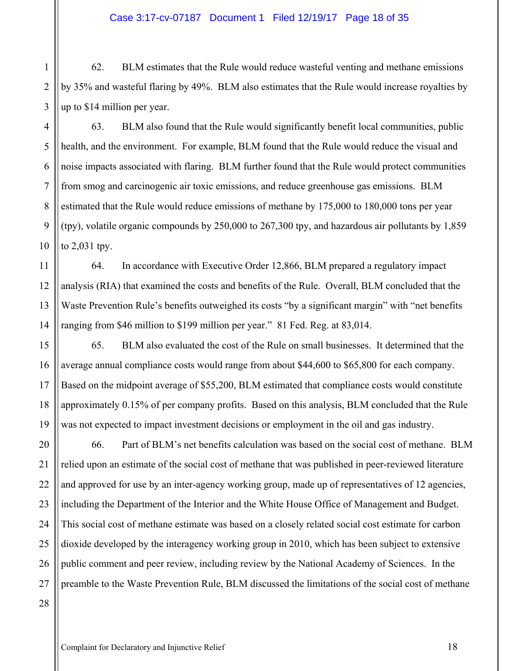#### Case 3:17-cv-07187 Document 1 Filed 12/19/17 Page 18 of 35

62. BLM estimates that the Rule would reduce wasteful venting and methane emissions by 35% and wasteful flaring by 49%. BLM also estimates that the Rule would increase royalties by up to \$14 million per year.

63. BLM also found that the Rule would significantly benefit local communities, public health, and the environment. For example, BLM found that the Rule would reduce the visual and noise impacts associated with flaring. BLM further found that the Rule would protect communities from smog and carcinogenic air toxic emissions, and reduce greenhouse gas emissions. BLM estimated that the Rule would reduce emissions of methane by 175,000 to 180,000 tons per year (tpy), volatile organic compounds by 250,000 to 267,300 tpy, and hazardous air pollutants by 1,859 to 2,031 tpy.

64. In accordance with Executive Order 12,866, BLM prepared a regulatory impact analysis (RIA) that examined the costs and benefits of the Rule. Overall, BLM concluded that the Waste Prevention Rule's benefits outweighed its costs "by a significant margin" with "net benefits ranging from \$46 million to \$199 million per year." 81 Fed. Reg. at 83,014.

65. BLM also evaluated the cost of the Rule on small businesses. It determined that the average annual compliance costs would range from about \$44,600 to \$65,800 for each company. Based on the midpoint average of \$55,200, BLM estimated that compliance costs would constitute approximately 0.15% of per company profits. Based on this analysis, BLM concluded that the Rule was not expected to impact investment decisions or employment in the oil and gas industry.

20 21 22 23 24 25 26 27 66. Part of BLM's net benefits calculation was based on the social cost of methane. BLM relied upon an estimate of the social cost of methane that was published in peer-reviewed literature and approved for use by an inter-agency working group, made up of representatives of 12 agencies, including the Department of the Interior and the White House Office of Management and Budget. This social cost of methane estimate was based on a closely related social cost estimate for carbon dioxide developed by the interagency working group in 2010, which has been subject to extensive public comment and peer review, including review by the National Academy of Sciences. In the preamble to the Waste Prevention Rule, BLM discussed the limitations of the social cost of methane

28

1

2

3

4

5

6

7

8

9

10

11

12

13

14

15

16

17

18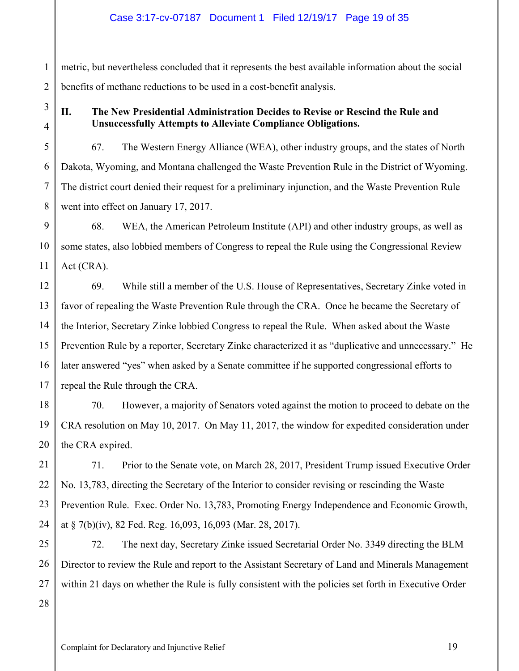1 2 metric, but nevertheless concluded that it represents the best available information about the social benefits of methane reductions to be used in a cost-benefit analysis.

# 3 4

5

6

7

8

9

10

11

## **II. The New Presidential Administration Decides to Revise or Rescind the Rule and Unsuccessfully Attempts to Alleviate Compliance Obligations.**

67. The Western Energy Alliance (WEA), other industry groups, and the states of North Dakota, Wyoming, and Montana challenged the Waste Prevention Rule in the District of Wyoming. The district court denied their request for a preliminary injunction, and the Waste Prevention Rule went into effect on January 17, 2017.

68. WEA, the American Petroleum Institute (API) and other industry groups, as well as some states, also lobbied members of Congress to repeal the Rule using the Congressional Review Act (CRA).

12 13 14 15 16 17 69. While still a member of the U.S. House of Representatives, Secretary Zinke voted in favor of repealing the Waste Prevention Rule through the CRA. Once he became the Secretary of the Interior, Secretary Zinke lobbied Congress to repeal the Rule. When asked about the Waste Prevention Rule by a reporter, Secretary Zinke characterized it as "duplicative and unnecessary." He later answered "yes" when asked by a Senate committee if he supported congressional efforts to repeal the Rule through the CRA.

18 70. However, a majority of Senators voted against the motion to proceed to debate on the CRA resolution on May 10, 2017. On May 11, 2017, the window for expedited consideration under the CRA expired.

71. Prior to the Senate vote, on March 28, 2017, President Trump issued Executive Order No. 13,783, directing the Secretary of the Interior to consider revising or rescinding the Waste Prevention Rule. Exec. Order No. 13,783, Promoting Energy Independence and Economic Growth, at § 7(b)(iv), 82 Fed. Reg. 16,093, 16,093 (Mar. 28, 2017).

25 26 27 72. The next day, Secretary Zinke issued Secretarial Order No. 3349 directing the BLM Director to review the Rule and report to the Assistant Secretary of Land and Minerals Management within 21 days on whether the Rule is fully consistent with the policies set forth in Executive Order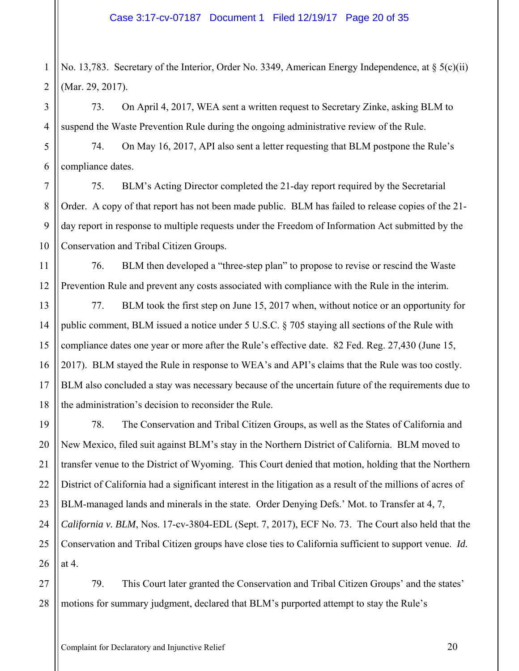2 No. 13,783. Secretary of the Interior, Order No. 3349, American Energy Independence, at § 5(c)(ii) (Mar. 29, 2017).

73. On April 4, 2017, WEA sent a written request to Secretary Zinke, asking BLM to suspend the Waste Prevention Rule during the ongoing administrative review of the Rule.

74. On May 16, 2017, API also sent a letter requesting that BLM postpone the Rule's compliance dates.

75. BLM's Acting Director completed the 21-day report required by the Secretarial Order. A copy of that report has not been made public. BLM has failed to release copies of the 21 day report in response to multiple requests under the Freedom of Information Act submitted by the Conservation and Tribal Citizen Groups.

11 12 76. BLM then developed a "three-step plan" to propose to revise or rescind the Waste Prevention Rule and prevent any costs associated with compliance with the Rule in the interim.

13 14 15 16 17 18 77. BLM took the first step on June 15, 2017 when, without notice or an opportunity for public comment, BLM issued a notice under 5 U.S.C. § 705 staying all sections of the Rule with compliance dates one year or more after the Rule's effective date. 82 Fed. Reg. 27,430 (June 15, 2017). BLM stayed the Rule in response to WEA's and API's claims that the Rule was too costly. BLM also concluded a stay was necessary because of the uncertain future of the requirements due to the administration's decision to reconsider the Rule.

19 20 21 22 23 24 25 26 78. The Conservation and Tribal Citizen Groups, as well as the States of California and New Mexico, filed suit against BLM's stay in the Northern District of California. BLM moved to transfer venue to the District of Wyoming. This Court denied that motion, holding that the Northern District of California had a significant interest in the litigation as a result of the millions of acres of BLM-managed lands and minerals in the state. Order Denying Defs.' Mot. to Transfer at 4, 7, *California v. BLM*, Nos. 17-cv-3804-EDL (Sept. 7, 2017), ECF No. 73.The Court also held that the Conservation and Tribal Citizen groups have close ties to California sufficient to support venue. *Id.* at 4.

27 28 79. This Court later granted the Conservation and Tribal Citizen Groups' and the states' motions for summary judgment, declared that BLM's purported attempt to stay the Rule's

1

3

4

5

6

7

8

9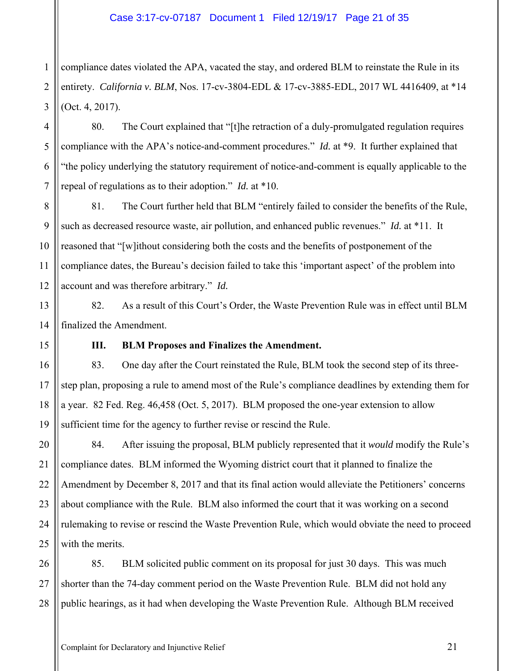1 2 3 compliance dates violated the APA, vacated the stay, and ordered BLM to reinstate the Rule in its entirety. *California v. BLM*, Nos. 17-cv-3804-EDL & 17-cv-3885-EDL, 2017 WL 4416409, at \*14 (Oct. 4, 2017).

80. The Court explained that "[t]he retraction of a duly-promulgated regulation requires compliance with the APA's notice-and-comment procedures." *Id.* at \*9. It further explained that "the policy underlying the statutory requirement of notice-and-comment is equally applicable to the repeal of regulations as to their adoption." *Id.* at \*10.

8 9 10 12 81. The Court further held that BLM "entirely failed to consider the benefits of the Rule, such as decreased resource waste, air pollution, and enhanced public revenues." *Id.* at \*11. It reasoned that "[w]ithout considering both the costs and the benefits of postponement of the compliance dates, the Bureau's decision failed to take this 'important aspect' of the problem into account and was therefore arbitrary." *Id.*

82. As a result of this Court's Order, the Waste Prevention Rule was in effect until BLM finalized the Amendment.

4

5

6

7

11

13

14

15

16

17

18

19

## **III. BLM Proposes and Finalizes the Amendment.**

83. One day after the Court reinstated the Rule, BLM took the second step of its threestep plan, proposing a rule to amend most of the Rule's compliance deadlines by extending them for a year. 82 Fed. Reg. 46,458 (Oct. 5, 2017). BLM proposed the one-year extension to allow sufficient time for the agency to further revise or rescind the Rule.

20 21 22 23 24 25 84. After issuing the proposal, BLM publicly represented that it *would* modify the Rule's compliance dates. BLM informed the Wyoming district court that it planned to finalize the Amendment by December 8, 2017 and that its final action would alleviate the Petitioners' concerns about compliance with the Rule. BLM also informed the court that it was working on a second rulemaking to revise or rescind the Waste Prevention Rule, which would obviate the need to proceed with the merits.

26 27 28 85. BLM solicited public comment on its proposal for just 30 days. This was much shorter than the 74-day comment period on the Waste Prevention Rule. BLM did not hold any public hearings, as it had when developing the Waste Prevention Rule. Although BLM received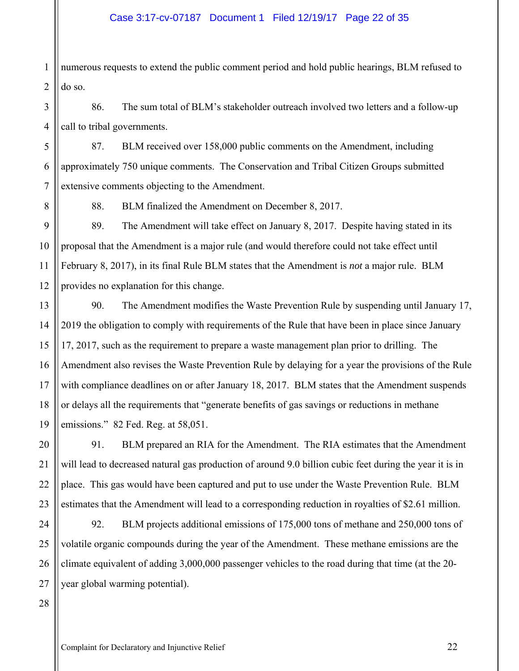1 2 numerous requests to extend the public comment period and hold public hearings, BLM refused to do so.

86. The sum total of BLM's stakeholder outreach involved two letters and a follow-up call to tribal governments.

87. BLM received over 158,000 public comments on the Amendment, including approximately 750 unique comments. The Conservation and Tribal Citizen Groups submitted extensive comments objecting to the Amendment.

3

4

5

6

7

8

88. BLM finalized the Amendment on December 8, 2017.

9 10 11 12 89. The Amendment will take effect on January 8, 2017. Despite having stated in its proposal that the Amendment is a major rule (and would therefore could not take effect until February 8, 2017), in its final Rule BLM states that the Amendment is *not* a major rule. BLM provides no explanation for this change.

13 14 15 16 17 18 19 90. The Amendment modifies the Waste Prevention Rule by suspending until January 17, 2019 the obligation to comply with requirements of the Rule that have been in place since January 17, 2017, such as the requirement to prepare a waste management plan prior to drilling. The Amendment also revises the Waste Prevention Rule by delaying for a year the provisions of the Rule with compliance deadlines on or after January 18, 2017. BLM states that the Amendment suspends or delays all the requirements that "generate benefits of gas savings or reductions in methane emissions." 82 Fed. Reg. at 58,051.

91. BLM prepared an RIA for the Amendment. The RIA estimates that the Amendment will lead to decreased natural gas production of around 9.0 billion cubic feet during the year it is in place. This gas would have been captured and put to use under the Waste Prevention Rule. BLM estimates that the Amendment will lead to a corresponding reduction in royalties of \$2.61 million.

24 25 26 27 92. BLM projects additional emissions of 175,000 tons of methane and 250,000 tons of volatile organic compounds during the year of the Amendment. These methane emissions are the climate equivalent of adding 3,000,000 passenger vehicles to the road during that time (at the 20 year global warming potential).

28

20

21

22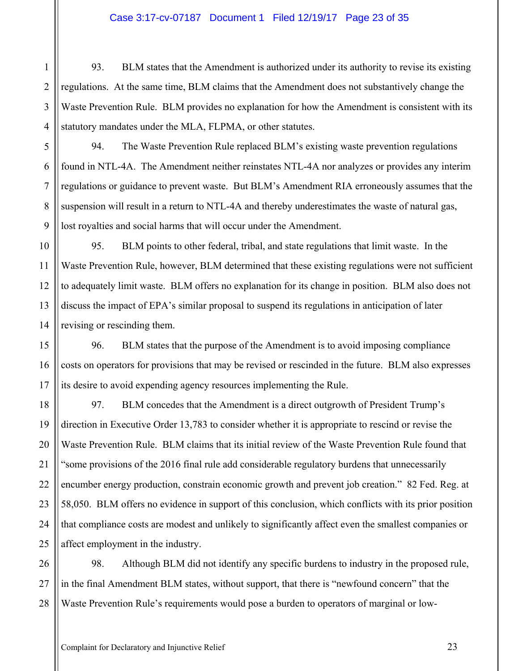#### Case 3:17-cv-07187 Document 1 Filed 12/19/17 Page 23 of 35

93. BLM states that the Amendment is authorized under its authority to revise its existing regulations. At the same time, BLM claims that the Amendment does not substantively change the Waste Prevention Rule. BLM provides no explanation for how the Amendment is consistent with its statutory mandates under the MLA, FLPMA, or other statutes.

94. The Waste Prevention Rule replaced BLM's existing waste prevention regulations found in NTL-4A. The Amendment neither reinstates NTL-4A nor analyzes or provides any interim regulations or guidance to prevent waste. But BLM's Amendment RIA erroneously assumes that the suspension will result in a return to NTL-4A and thereby underestimates the waste of natural gas, lost royalties and social harms that will occur under the Amendment.

95. BLM points to other federal, tribal, and state regulations that limit waste. In the Waste Prevention Rule, however, BLM determined that these existing regulations were not sufficient to adequately limit waste. BLM offers no explanation for its change in position. BLM also does not discuss the impact of EPA's similar proposal to suspend its regulations in anticipation of later revising or rescinding them.

96. BLM states that the purpose of the Amendment is to avoid imposing compliance costs on operators for provisions that may be revised or rescinded in the future. BLM also expresses its desire to avoid expending agency resources implementing the Rule.

18 97. BLM concedes that the Amendment is a direct outgrowth of President Trump's direction in Executive Order 13,783 to consider whether it is appropriate to rescind or revise the Waste Prevention Rule. BLM claims that its initial review of the Waste Prevention Rule found that "some provisions of the 2016 final rule add considerable regulatory burdens that unnecessarily encumber energy production, constrain economic growth and prevent job creation." 82 Fed. Reg. at 58,050. BLM offers no evidence in support of this conclusion, which conflicts with its prior position that compliance costs are modest and unlikely to significantly affect even the smallest companies or affect employment in the industry.

26 27 28 98. Although BLM did not identify any specific burdens to industry in the proposed rule, in the final Amendment BLM states, without support, that there is "newfound concern" that the Waste Prevention Rule's requirements would pose a burden to operators of marginal or low-

1

2

3

4

5

6

7

8

9

10

11

12

13

14

15

16

17

19

20

21

22

23

24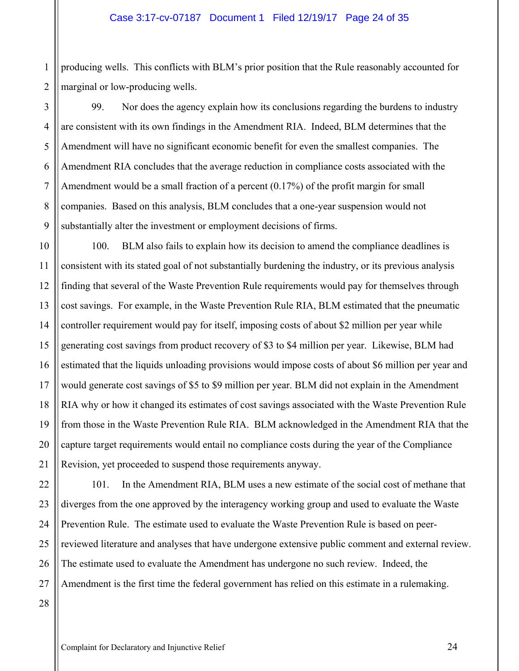1 2 producing wells. This conflicts with BLM's prior position that the Rule reasonably accounted for marginal or low-producing wells.

3 4 5 6 7 8 9 99. Nor does the agency explain how its conclusions regarding the burdens to industry are consistent with its own findings in the Amendment RIA. Indeed, BLM determines that the Amendment will have no significant economic benefit for even the smallest companies. The Amendment RIA concludes that the average reduction in compliance costs associated with the Amendment would be a small fraction of a percent (0.17%) of the profit margin for small companies. Based on this analysis, BLM concludes that a one-year suspension would not substantially alter the investment or employment decisions of firms.

10 11 12 13 14 15 16 17 18 19 20 21 100. BLM also fails to explain how its decision to amend the compliance deadlines is consistent with its stated goal of not substantially burdening the industry, or its previous analysis finding that several of the Waste Prevention Rule requirements would pay for themselves through cost savings. For example, in the Waste Prevention Rule RIA, BLM estimated that the pneumatic controller requirement would pay for itself, imposing costs of about \$2 million per year while generating cost savings from product recovery of \$3 to \$4 million per year. Likewise, BLM had estimated that the liquids unloading provisions would impose costs of about \$6 million per year and would generate cost savings of \$5 to \$9 million per year. BLM did not explain in the Amendment RIA why or how it changed its estimates of cost savings associated with the Waste Prevention Rule from those in the Waste Prevention Rule RIA. BLM acknowledged in the Amendment RIA that the capture target requirements would entail no compliance costs during the year of the Compliance Revision, yet proceeded to suspend those requirements anyway.

22 23 24 25 26 27 101. In the Amendment RIA, BLM uses a new estimate of the social cost of methane that diverges from the one approved by the interagency working group and used to evaluate the Waste Prevention Rule. The estimate used to evaluate the Waste Prevention Rule is based on peerreviewed literature and analyses that have undergone extensive public comment and external review. The estimate used to evaluate the Amendment has undergone no such review. Indeed, the Amendment is the first time the federal government has relied on this estimate in a rulemaking.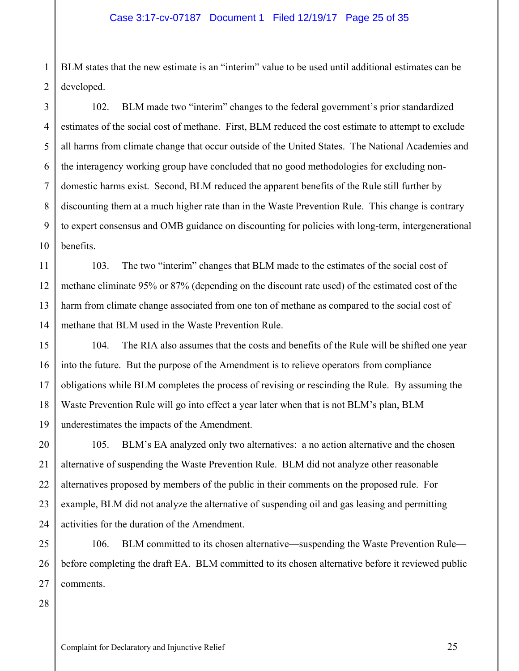1 2 BLM states that the new estimate is an "interim" value to be used until additional estimates can be developed.

102. BLM made two "interim" changes to the federal government's prior standardized estimates of the social cost of methane. First, BLM reduced the cost estimate to attempt to exclude all harms from climate change that occur outside of the United States. The National Academies and the interagency working group have concluded that no good methodologies for excluding nondomestic harms exist. Second, BLM reduced the apparent benefits of the Rule still further by discounting them at a much higher rate than in the Waste Prevention Rule. This change is contrary to expert consensus and OMB guidance on discounting for policies with long-term, intergenerational benefits.

103. The two "interim" changes that BLM made to the estimates of the social cost of methane eliminate 95% or 87% (depending on the discount rate used) of the estimated cost of the harm from climate change associated from one ton of methane as compared to the social cost of methane that BLM used in the Waste Prevention Rule.

104. The RIA also assumes that the costs and benefits of the Rule will be shifted one year into the future. But the purpose of the Amendment is to relieve operators from compliance obligations while BLM completes the process of revising or rescinding the Rule. By assuming the Waste Prevention Rule will go into effect a year later when that is not BLM's plan, BLM underestimates the impacts of the Amendment.

105. BLM's EA analyzed only two alternatives: a no action alternative and the chosen alternative of suspending the Waste Prevention Rule. BLM did not analyze other reasonable alternatives proposed by members of the public in their comments on the proposed rule. For example, BLM did not analyze the alternative of suspending oil and gas leasing and permitting activities for the duration of the Amendment.

25 26 27 106. BLM committed to its chosen alternative—suspending the Waste Prevention Rule before completing the draft EA. BLM committed to its chosen alternative before it reviewed public comments.

28

3

4

5

6

7

8

9

10

11

12

13

14

15

16

17

18

19

20

21

22

23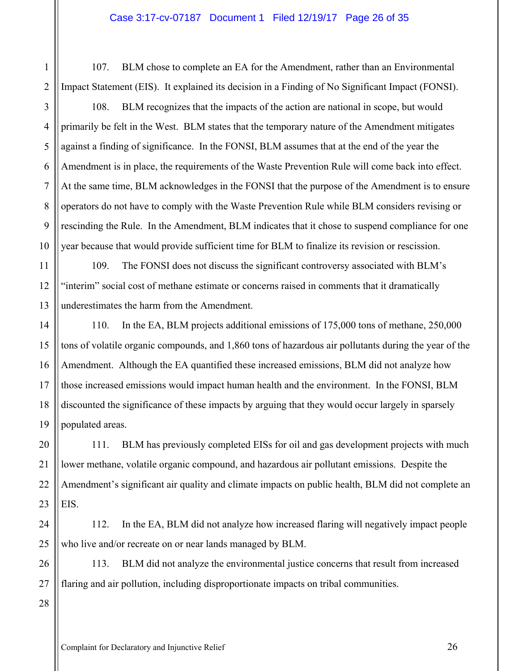107. BLM chose to complete an EA for the Amendment, rather than an Environmental Impact Statement (EIS). It explained its decision in a Finding of No Significant Impact (FONSI).

108. BLM recognizes that the impacts of the action are national in scope, but would primarily be felt in the West. BLM states that the temporary nature of the Amendment mitigates against a finding of significance. In the FONSI, BLM assumes that at the end of the year the Amendment is in place, the requirements of the Waste Prevention Rule will come back into effect. At the same time, BLM acknowledges in the FONSI that the purpose of the Amendment is to ensure operators do not have to comply with the Waste Prevention Rule while BLM considers revising or rescinding the Rule. In the Amendment, BLM indicates that it chose to suspend compliance for one year because that would provide sufficient time for BLM to finalize its revision or rescission.

109. The FONSI does not discuss the significant controversy associated with BLM's "interim" social cost of methane estimate or concerns raised in comments that it dramatically underestimates the harm from the Amendment.

14 16 17 18 19 110. In the EA, BLM projects additional emissions of 175,000 tons of methane, 250,000 tons of volatile organic compounds, and 1,860 tons of hazardous air pollutants during the year of the Amendment. Although the EA quantified these increased emissions, BLM did not analyze how those increased emissions would impact human health and the environment. In the FONSI, BLM discounted the significance of these impacts by arguing that they would occur largely in sparsely populated areas.

20 21 22 23 111. BLM has previously completed EISs for oil and gas development projects with much lower methane, volatile organic compound, and hazardous air pollutant emissions. Despite the Amendment's significant air quality and climate impacts on public health, BLM did not complete an EIS.

24 25 112. In the EA, BLM did not analyze how increased flaring will negatively impact people who live and/or recreate on or near lands managed by BLM.

26 27 113. BLM did not analyze the environmental justice concerns that result from increased flaring and air pollution, including disproportionate impacts on tribal communities.

28

1

2

3

4

5

6

7

8

9

10

11

12

13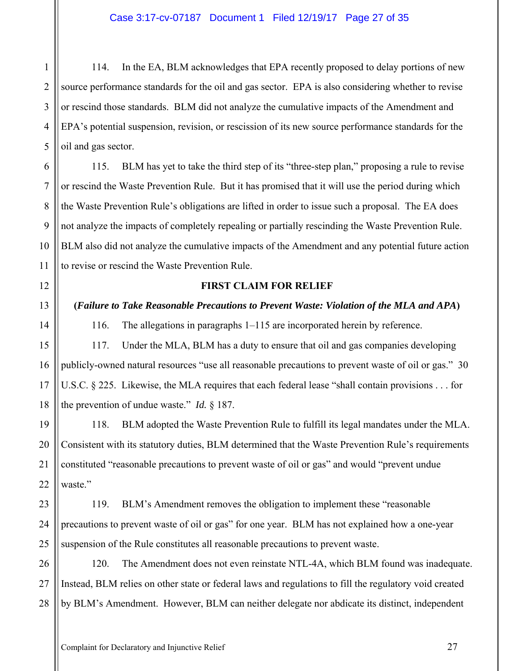114. In the EA, BLM acknowledges that EPA recently proposed to delay portions of new source performance standards for the oil and gas sector. EPA is also considering whether to revise or rescind those standards. BLM did not analyze the cumulative impacts of the Amendment and EPA's potential suspension, revision, or rescission of its new source performance standards for the oil and gas sector.

115. BLM has yet to take the third step of its "three-step plan," proposing a rule to revise or rescind the Waste Prevention Rule. But it has promised that it will use the period during which the Waste Prevention Rule's obligations are lifted in order to issue such a proposal. The EA does not analyze the impacts of completely repealing or partially rescinding the Waste Prevention Rule. BLM also did not analyze the cumulative impacts of the Amendment and any potential future action to revise or rescind the Waste Prevention Rule.

#### **FIRST CLAIM FOR RELIEF**

**(***Failure to Take Reasonable Precautions to Prevent Waste: Violation of the MLA and APA***)** 

116. The allegations in paragraphs 1–115 are incorporated herein by reference.

117. Under the MLA, BLM has a duty to ensure that oil and gas companies developing publicly-owned natural resources "use all reasonable precautions to prevent waste of oil or gas." 30 U.S.C. § 225. Likewise, the MLA requires that each federal lease "shall contain provisions . . . for the prevention of undue waste." *Id.* § 187.

118. BLM adopted the Waste Prevention Rule to fulfill its legal mandates under the MLA. Consistent with its statutory duties, BLM determined that the Waste Prevention Rule's requirements constituted "reasonable precautions to prevent waste of oil or gas" and would "prevent undue waste."

119. BLM's Amendment removes the obligation to implement these "reasonable precautions to prevent waste of oil or gas" for one year. BLM has not explained how a one-year suspension of the Rule constitutes all reasonable precautions to prevent waste.

120. The Amendment does not even reinstate NTL-4A, which BLM found was inadequate. Instead, BLM relies on other state or federal laws and regulations to fill the regulatory void created by BLM's Amendment. However, BLM can neither delegate nor abdicate its distinct, independent

1

2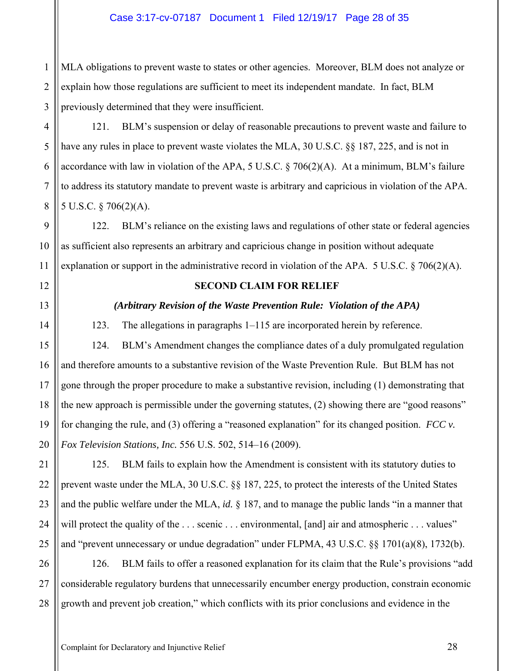1 2 3 MLA obligations to prevent waste to states or other agencies. Moreover, BLM does not analyze or explain how those regulations are sufficient to meet its independent mandate. In fact, BLM previously determined that they were insufficient.

121. BLM's suspension or delay of reasonable precautions to prevent waste and failure to have any rules in place to prevent waste violates the MLA, 30 U.S.C. §§ 187, 225, and is not in accordance with law in violation of the APA, 5 U.S.C. § 706(2)(A). At a minimum, BLM's failure to address its statutory mandate to prevent waste is arbitrary and capricious in violation of the APA. 5 U.S.C. § 706(2)(A).

122. BLM's reliance on the existing laws and regulations of other state or federal agencies as sufficient also represents an arbitrary and capricious change in position without adequate explanation or support in the administrative record in violation of the APA. 5 U.S.C.  $\S$  706(2)(A).

12

4

5

6

7

8

9

10

11

13

14

15

16

17

18

19

20

21

## **SECOND CLAIM FOR RELIEF**

## *(Arbitrary Revision of the Waste Prevention Rule: Violation of the APA)*

123. The allegations in paragraphs 1–115 are incorporated herein by reference.

124. BLM's Amendment changes the compliance dates of a duly promulgated regulation and therefore amounts to a substantive revision of the Waste Prevention Rule. But BLM has not gone through the proper procedure to make a substantive revision, including (1) demonstrating that the new approach is permissible under the governing statutes, (2) showing there are "good reasons" for changing the rule, and (3) offering a "reasoned explanation" for its changed position. *FCC v. Fox Television Stations, Inc.* 556 U.S. 502, 514–16 (2009).

22 23 24 25 125. BLM fails to explain how the Amendment is consistent with its statutory duties to prevent waste under the MLA, 30 U.S.C. §§ 187, 225, to protect the interests of the United States and the public welfare under the MLA, *id.* § 187, and to manage the public lands "in a manner that will protect the quality of the ... scenic ... environmental, [and] air and atmospheric ... values" and "prevent unnecessary or undue degradation" under FLPMA, 43 U.S.C. §§ 1701(a)(8), 1732(b).

26 27 28 126. BLM fails to offer a reasoned explanation for its claim that the Rule's provisions "add considerable regulatory burdens that unnecessarily encumber energy production, constrain economic growth and prevent job creation," which conflicts with its prior conclusions and evidence in the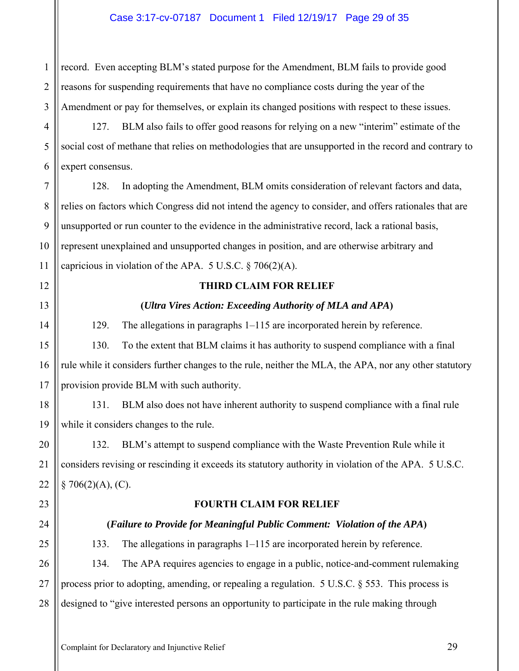1 2 3 record. Even accepting BLM's stated purpose for the Amendment, BLM fails to provide good reasons for suspending requirements that have no compliance costs during the year of the Amendment or pay for themselves, or explain its changed positions with respect to these issues.

127. BLM also fails to offer good reasons for relying on a new "interim" estimate of the social cost of methane that relies on methodologies that are unsupported in the record and contrary to expert consensus.

128. In adopting the Amendment, BLM omits consideration of relevant factors and data, relies on factors which Congress did not intend the agency to consider, and offers rationales that are unsupported or run counter to the evidence in the administrative record, lack a rational basis, represent unexplained and unsupported changes in position, and are otherwise arbitrary and capricious in violation of the APA.  $5 \text{ U.S.C.} \$   $706(2)(\text{A})$ .

## **THIRD CLAIM FOR RELIEF**

## **(***Ultra Vires Action: Exceeding Authority of MLA and APA***)**

129. The allegations in paragraphs 1–115 are incorporated herein by reference.

130. To the extent that BLM claims it has authority to suspend compliance with a final rule while it considers further changes to the rule, neither the MLA, the APA, nor any other statutory provision provide BLM with such authority.

131. BLM also does not have inherent authority to suspend compliance with a final rule while it considers changes to the rule.

132. BLM's attempt to suspend compliance with the Waste Prevention Rule while it considers revising or rescinding it exceeds its statutory authority in violation of the APA. 5 U.S.C.  $§ 706(2)(A), (C).$ 

## **FOURTH CLAIM FOR RELIEF**

## **(***Failure to Provide for Meaningful Public Comment: Violation of the APA***)**

133. The allegations in paragraphs 1–115 are incorporated herein by reference. 134. The APA requires agencies to engage in a public, notice-and-comment rulemaking process prior to adopting, amending, or repealing a regulation. 5 U.S.C. § 553. This process is designed to "give interested persons an opportunity to participate in the rule making through

Complaint for Declaratory and Injunctive Relief 29

4

5

6

7

8

9

10

11

12

13

14

15

16

17

18

19

20

21

22

23

24

25

26

27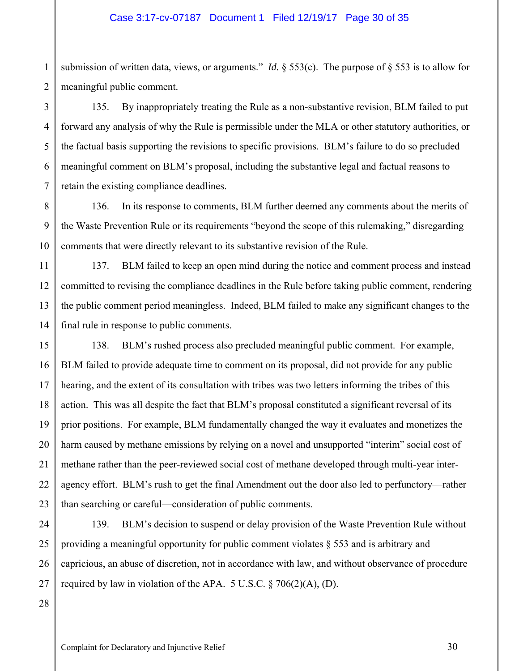1 2 submission of written data, views, or arguments." *Id.*  $\S$  553(c). The purpose of  $\S$  553 is to allow for meaningful public comment.

135. By inappropriately treating the Rule as a non-substantive revision, BLM failed to put forward any analysis of why the Rule is permissible under the MLA or other statutory authorities, or the factual basis supporting the revisions to specific provisions. BLM's failure to do so precluded meaningful comment on BLM's proposal, including the substantive legal and factual reasons to retain the existing compliance deadlines.

136. In its response to comments, BLM further deemed any comments about the merits of the Waste Prevention Rule or its requirements "beyond the scope of this rulemaking," disregarding comments that were directly relevant to its substantive revision of the Rule.

137. BLM failed to keep an open mind during the notice and comment process and instead committed to revising the compliance deadlines in the Rule before taking public comment, rendering the public comment period meaningless. Indeed, BLM failed to make any significant changes to the final rule in response to public comments.

138. BLM's rushed process also precluded meaningful public comment. For example, BLM failed to provide adequate time to comment on its proposal, did not provide for any public hearing, and the extent of its consultation with tribes was two letters informing the tribes of this action. This was all despite the fact that BLM's proposal constituted a significant reversal of its prior positions. For example, BLM fundamentally changed the way it evaluates and monetizes the harm caused by methane emissions by relying on a novel and unsupported "interim" social cost of methane rather than the peer-reviewed social cost of methane developed through multi-year interagency effort. BLM's rush to get the final Amendment out the door also led to perfunctory—rather than searching or careful—consideration of public comments.

26 139. BLM's decision to suspend or delay provision of the Waste Prevention Rule without providing a meaningful opportunity for public comment violates § 553 and is arbitrary and capricious, an abuse of discretion, not in accordance with law, and without observance of procedure required by law in violation of the APA.  $5 \text{ U.S.C.} \$   $706(2)(\text{A})$ , (D).

27 28

3

4

5

6

7

8

9

10

11

12

13

14

15

16

17

18

19

20

21

22

23

24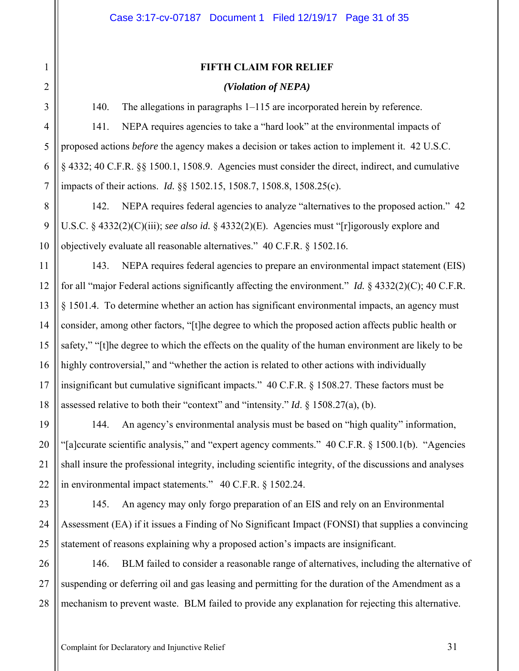#### **FIFTH CLAIM FOR RELIEF**

## *(Violation of NEPA)*

140. The allegations in paragraphs 1–115 are incorporated herein by reference.

141. NEPA requires agencies to take a "hard look" at the environmental impacts of proposed actions *before* the agency makes a decision or takes action to implement it. 42 U.S.C. § 4332; 40 C.F.R. §§ 1500.1, 1508.9. Agencies must consider the direct, indirect, and cumulative impacts of their actions. *Id.* §§ 1502.15, 1508.7, 1508.8, 1508.25(c).

142. NEPA requires federal agencies to analyze "alternatives to the proposed action." 42 U.S.C. § 4332(2)(C)(iii); *see also id.* § 4332(2)(E). Agencies must "[r]igorously explore and objectively evaluate all reasonable alternatives." 40 C.F.R. § 1502.16.

143. NEPA requires federal agencies to prepare an environmental impact statement (EIS) for all "major Federal actions significantly affecting the environment." *Id.* § 4332(2)(C); 40 C.F.R. § 1501.4. To determine whether an action has significant environmental impacts, an agency must consider, among other factors, "[t]he degree to which the proposed action affects public health or safety," "[t]he degree to which the effects on the quality of the human environment are likely to be highly controversial," and "whether the action is related to other actions with individually insignificant but cumulative significant impacts." 40 C.F.R. § 1508.27. These factors must be assessed relative to both their "context" and "intensity." *Id*. § 1508.27(a), (b).

144. An agency's environmental analysis must be based on "high quality" information, "[a]ccurate scientific analysis," and "expert agency comments." 40 C.F.R. § 1500.1(b). "Agencies shall insure the professional integrity, including scientific integrity, of the discussions and analyses in environmental impact statements." 40 C.F.R. § 1502.24.

145. An agency may only forgo preparation of an EIS and rely on an Environmental Assessment (EA) if it issues a Finding of No Significant Impact (FONSI) that supplies a convincing statement of reasons explaining why a proposed action's impacts are insignificant.

146. BLM failed to consider a reasonable range of alternatives, including the alternative of suspending or deferring oil and gas leasing and permitting for the duration of the Amendment as a mechanism to prevent waste. BLM failed to provide any explanation for rejecting this alternative.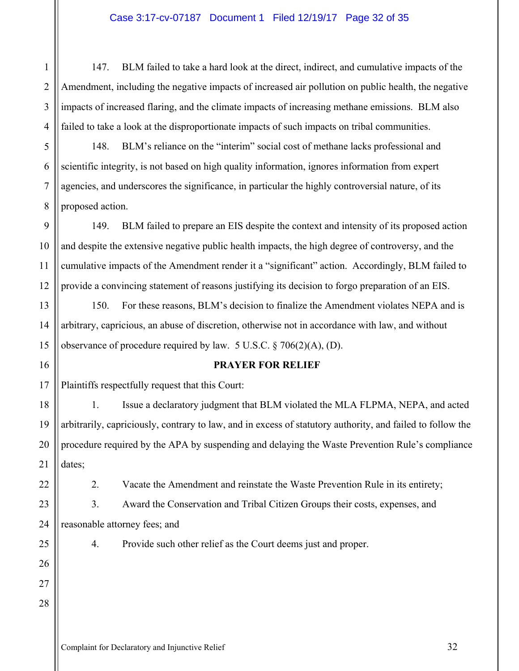## Case 3:17-cv-07187 Document 1 Filed 12/19/17 Page 32 of 35

147. BLM failed to take a hard look at the direct, indirect, and cumulative impacts of the Amendment, including the negative impacts of increased air pollution on public health, the negative impacts of increased flaring, and the climate impacts of increasing methane emissions. BLM also failed to take a look at the disproportionate impacts of such impacts on tribal communities.

148. BLM's reliance on the "interim" social cost of methane lacks professional and scientific integrity, is not based on high quality information, ignores information from expert agencies, and underscores the significance, in particular the highly controversial nature, of its proposed action.

9 10 11 12 149. BLM failed to prepare an EIS despite the context and intensity of its proposed action and despite the extensive negative public health impacts, the high degree of controversy, and the cumulative impacts of the Amendment render it a "significant" action. Accordingly, BLM failed to provide a convincing statement of reasons justifying its decision to forgo preparation of an EIS.

13 150. For these reasons, BLM's decision to finalize the Amendment violates NEPA and is arbitrary, capricious, an abuse of discretion, otherwise not in accordance with law, and without observance of procedure required by law. 5 U.S.C. § 706(2)(A), (D).

16

14

15

17

19

20

21

22

23

24

25

26

27

28

1

2

3

4

5

6

7

8

#### **PRAYER FOR RELIEF**

Plaintiffs respectfully request that this Court:

18 1. Issue a declaratory judgment that BLM violated the MLA FLPMA, NEPA, and acted arbitrarily, capriciously, contrary to law, and in excess of statutory authority, and failed to follow the procedure required by the APA by suspending and delaying the Waste Prevention Rule's compliance dates;

2. Vacate the Amendment and reinstate the Waste Prevention Rule in its entirety;

3. Award the Conservation and Tribal Citizen Groups their costs, expenses, and reasonable attorney fees; and

4. Provide such other relief as the Court deems just and proper.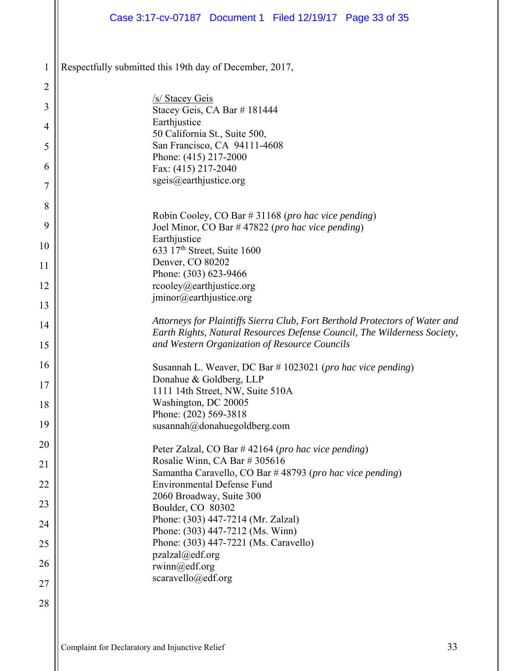|                | Case 3:17-cv-07187 Document 1 Filed 12/19/17 Page 33 of 35                                                                                              |
|----------------|---------------------------------------------------------------------------------------------------------------------------------------------------------|
|                |                                                                                                                                                         |
| $\mathbf{1}$   | Respectfully submitted this 19th day of December, 2017,                                                                                                 |
| $\overline{2}$ |                                                                                                                                                         |
| 3              | /s/ Stacey Geis<br>Stacey Geis, CA Bar #181444                                                                                                          |
| $\overline{4}$ | Earthjustice                                                                                                                                            |
| 5              | 50 California St., Suite 500,<br>San Francisco, CA 94111-4608                                                                                           |
|                | Phone: (415) 217-2000                                                                                                                                   |
| 6              | Fax: (415) 217-2040<br>sgeis@earthjustice.org                                                                                                           |
| 7              |                                                                                                                                                         |
| 8              | Robin Cooley, CO Bar # 31168 (pro hac vice pending)                                                                                                     |
| 9              | Joel Minor, CO Bar #47822 (pro hac vice pending)                                                                                                        |
| 10             | Earthjustice<br>633 17th Street, Suite 1600                                                                                                             |
| 11             | Denver, CO 80202                                                                                                                                        |
| 12             | Phone: (303) 623-9466<br>rcooley@earthjustice.org                                                                                                       |
|                | jminor@earthjustice.org                                                                                                                                 |
| 13             |                                                                                                                                                         |
| 14             | Attorneys for Plaintiffs Sierra Club, Fort Berthold Protectors of Water and<br>Earth Rights, Natural Resources Defense Council, The Wilderness Society, |
| 15             | and Western Organization of Resource Councils                                                                                                           |
| 16             | Susannah L. Weaver, DC Bar # 1023021 (pro hac vice pending)                                                                                             |
| 17             | Donahue & Goldberg, LLP                                                                                                                                 |
| 18             | 1111 14th Street, NW, Suite 510A<br>Washington, DC 20005                                                                                                |
| 19             | Phone: (202) 569-3818                                                                                                                                   |
|                | susannah@donahuegoldberg.com                                                                                                                            |
| 20             | Peter Zalzal, CO Bar #42164 (pro hac vice pending)                                                                                                      |
| 21             | Rosalie Winn, CA Bar # 305616<br>Samantha Caravello, CO Bar #48793 (pro hac vice pending)                                                               |
| 22             | <b>Environmental Defense Fund</b>                                                                                                                       |
| 23             | 2060 Broadway, Suite 300<br>Boulder, CO 80302                                                                                                           |
| 24             | Phone: (303) 447-7214 (Mr. Zalzal)                                                                                                                      |
| 25             | Phone: (303) 447-7212 (Ms. Winn)<br>Phone: (303) 447-7221 (Ms. Caravello)                                                                               |
|                | $pzalzal(\partial_e df.org)$                                                                                                                            |
| 26             | rwinn@edf.org<br>scaravello@edf.org                                                                                                                     |
| 27             |                                                                                                                                                         |
| 28             |                                                                                                                                                         |
|                |                                                                                                                                                         |
|                |                                                                                                                                                         |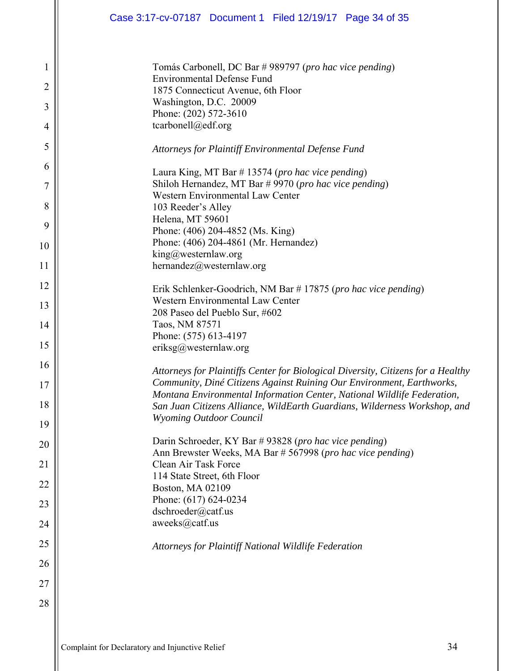| $\mathbf{1}$   | Tomás Carbonell, DC Bar # 989797 (pro hac vice pending)                                                                                          |
|----------------|--------------------------------------------------------------------------------------------------------------------------------------------------|
| $\overline{2}$ | <b>Environmental Defense Fund</b><br>1875 Connecticut Avenue, 6th Floor                                                                          |
| 3              | Washington, D.C. 20009<br>Phone: (202) 572-3610                                                                                                  |
| $\overline{4}$ | tcarbonell@edf.org                                                                                                                               |
| 5              | Attorneys for Plaintiff Environmental Defense Fund                                                                                               |
| 6              | Laura King, MT Bar # 13574 (pro hac vice pending)                                                                                                |
| 7              | Shiloh Hernandez, MT Bar #9970 (pro hac vice pending)                                                                                            |
| 8              | <b>Western Environmental Law Center</b><br>103 Reeder's Alley                                                                                    |
|                | Helena, MT 59601                                                                                                                                 |
| 9              | Phone: (406) 204-4852 (Ms. King)                                                                                                                 |
| 10             | Phone: (406) 204-4861 (Mr. Hernandez)<br>king@westernlaw.org                                                                                     |
| 11             | hernandez@westernlaw.org                                                                                                                         |
| 12             |                                                                                                                                                  |
|                | Erik Schlenker-Goodrich, NM Bar #17875 (pro hac vice pending)<br><b>Western Environmental Law Center</b>                                         |
| 13             | 208 Paseo del Pueblo Sur, #602                                                                                                                   |
| 14             | Taos, NM 87571                                                                                                                                   |
| 15             | Phone: (575) 613-4197<br>eriksg@westernlaw.org                                                                                                   |
| 16             |                                                                                                                                                  |
|                | Attorneys for Plaintiffs Center for Biological Diversity, Citizens for a Healthy                                                                 |
| 17             | Community, Diné Citizens Against Ruining Our Environment, Earthworks,<br>Montana Environmental Information Center, National Wildlife Federation, |
| 18             | San Juan Citizens Alliance, WildEarth Guardians, Wilderness Workshop, and                                                                        |
| 19             | <b>Wyoming Outdoor Council</b>                                                                                                                   |
| 20             | Darin Schroeder, KY Bar #93828 (pro hac vice pending)                                                                                            |
|                | Ann Brewster Weeks, MA Bar # 567998 (pro hac vice pending)<br>Clean Air Task Force                                                               |
| 21             | 114 State Street, 6th Floor                                                                                                                      |
| 22             | Boston, MA 02109                                                                                                                                 |
| 23             | Phone: (617) 624-0234<br>dschroeder@catf.us                                                                                                      |
| 24             | aweeks@catf.us                                                                                                                                   |
| 25             | Attorneys for Plaintiff National Wildlife Federation                                                                                             |
| 26             |                                                                                                                                                  |
| 27             |                                                                                                                                                  |
| 28             |                                                                                                                                                  |
|                |                                                                                                                                                  |
|                |                                                                                                                                                  |